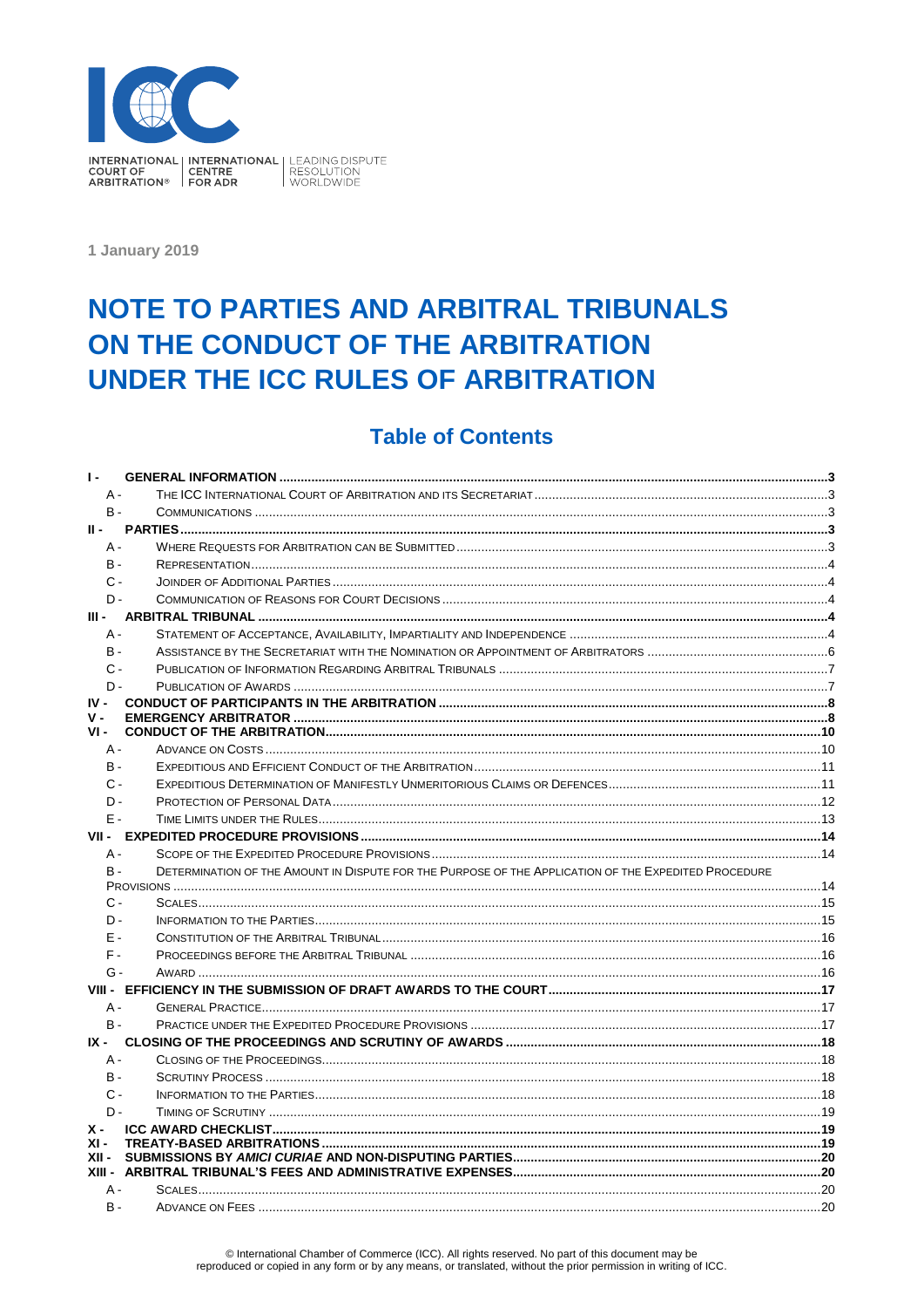

1 January 2019

# **NOTE TO PARTIES AND ARBITRAL TRIBUNALS** ON THE CONDUCT OF THE ARBITRATION UNDER THE ICC RULES OF ARBITRATION

# **Table of Contents**

| т.            |                                                                                                      |  |
|---------------|------------------------------------------------------------------------------------------------------|--|
| A -           |                                                                                                      |  |
| <b>B</b> -    |                                                                                                      |  |
| н.            |                                                                                                      |  |
| A -           |                                                                                                      |  |
| <b>B</b> -    |                                                                                                      |  |
| $C -$         |                                                                                                      |  |
| $\mathsf{D}$  |                                                                                                      |  |
| ш.            |                                                                                                      |  |
| $A -$         |                                                                                                      |  |
| <b>B</b> -    |                                                                                                      |  |
| $C -$         |                                                                                                      |  |
| $D -$         |                                                                                                      |  |
| $IV -$        |                                                                                                      |  |
| ν.<br>VI-     |                                                                                                      |  |
| $A -$         |                                                                                                      |  |
| $B -$         |                                                                                                      |  |
| $C -$         |                                                                                                      |  |
| $D -$         |                                                                                                      |  |
| $F -$         |                                                                                                      |  |
| VII -         |                                                                                                      |  |
| $A -$         |                                                                                                      |  |
| $B -$         | DETERMINATION OF THE AMOUNT IN DISPUTE FOR THE PURPOSE OF THE APPLICATION OF THE EXPEDITED PROCEDURE |  |
|               |                                                                                                      |  |
| С -           |                                                                                                      |  |
| D-            |                                                                                                      |  |
| Ε-            |                                                                                                      |  |
| $F -$         |                                                                                                      |  |
| $G -$         |                                                                                                      |  |
|               |                                                                                                      |  |
| $A -$         |                                                                                                      |  |
| $B -$         |                                                                                                      |  |
| $IX -$        |                                                                                                      |  |
| $A -$         |                                                                                                      |  |
| <b>B</b> -    |                                                                                                      |  |
| $C -$         |                                                                                                      |  |
| $D -$         |                                                                                                      |  |
| <b>x</b> -    |                                                                                                      |  |
| XI -<br>XII - |                                                                                                      |  |
|               |                                                                                                      |  |
| A -           |                                                                                                      |  |
| B -           |                                                                                                      |  |
|               |                                                                                                      |  |

© International Chamber of Commerce (ICC). All rights reserved. No part of this document may be reproduced or copied in any form or by any means, or translated, without the prior permission in writing of ICC.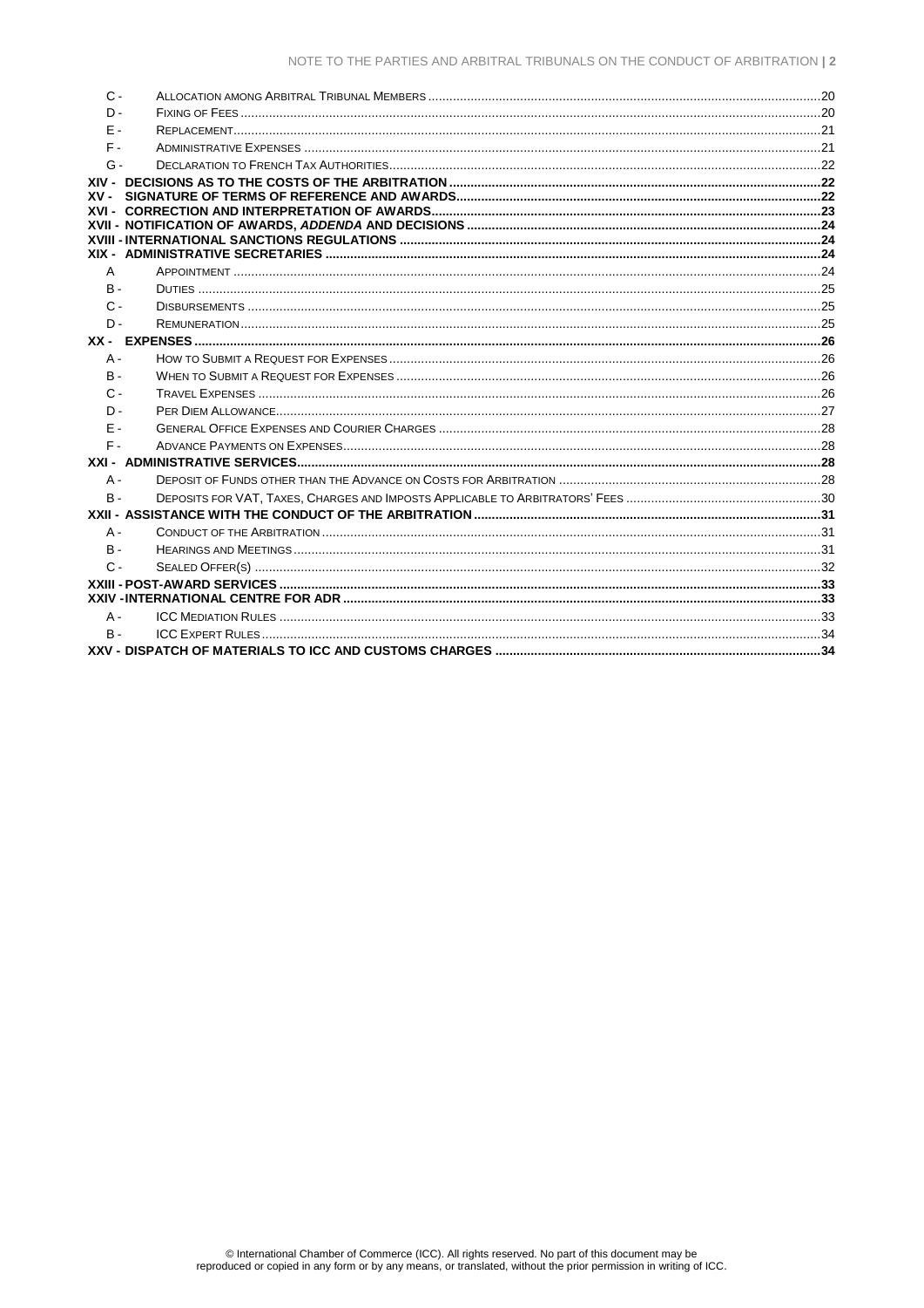| $C -$          |  |
|----------------|--|
| D-             |  |
| F -            |  |
| $F -$          |  |
| $G -$          |  |
|                |  |
|                |  |
|                |  |
|                |  |
|                |  |
| $\mathsf{A}$   |  |
| <b>B</b> -     |  |
| $C -$          |  |
| $D -$          |  |
|                |  |
| $A -$          |  |
| $B -$          |  |
| $\mathsf{C}$ - |  |
| D-             |  |
| $F -$          |  |
| $F -$          |  |
|                |  |
| $A -$          |  |
| $B -$          |  |
|                |  |
| $A -$          |  |
| $B -$          |  |
| $C -$          |  |
|                |  |
|                |  |
| $A -$          |  |
| $B -$          |  |
|                |  |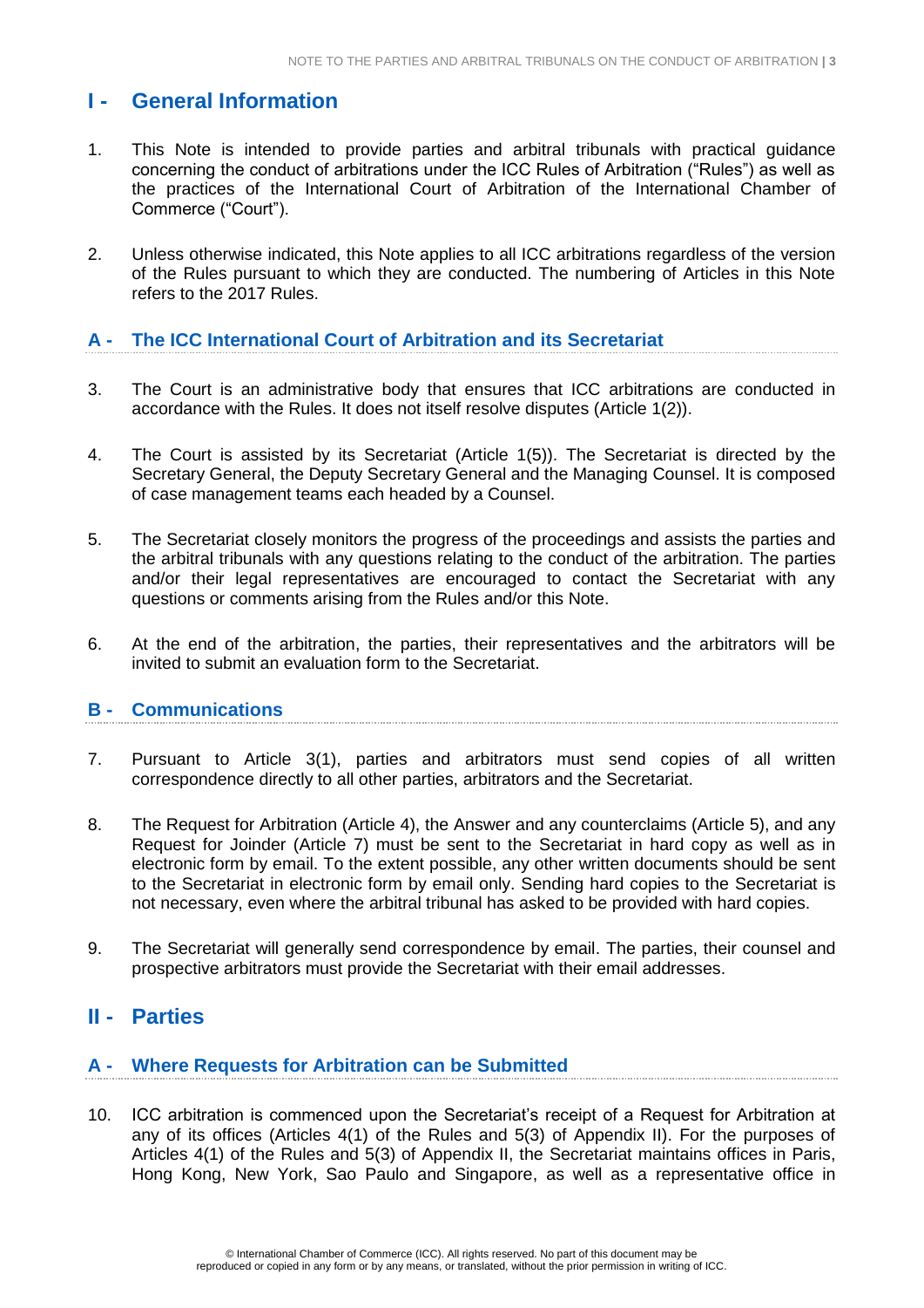# <span id="page-2-0"></span>**I - General Information**

- 1. This Note is intended to provide parties and arbitral tribunals with practical guidance concerning the conduct of arbitrations under the ICC Rules of Arbitration ("Rules") as well as the practices of the International Court of Arbitration of the International Chamber of Commerce ("Court").
- 2. Unless otherwise indicated, this Note applies to all ICC arbitrations regardless of the version of the Rules pursuant to which they are conducted. The numbering of Articles in this Note refers to the 2017 Rules.

### <span id="page-2-1"></span>**A - The ICC International Court of Arbitration and its Secretariat**

- 3. The Court is an administrative body that ensures that ICC arbitrations are conducted in accordance with the Rules. It does not itself resolve disputes (Article 1(2)).
- 4. The Court is assisted by its Secretariat (Article 1(5)). The Secretariat is directed by the Secretary General, the Deputy Secretary General and the Managing Counsel. It is composed of case management teams each headed by a Counsel.
- 5. The Secretariat closely monitors the progress of the proceedings and assists the parties and the arbitral tribunals with any questions relating to the conduct of the arbitration. The parties and/or their legal representatives are encouraged to contact the Secretariat with any questions or comments arising from the Rules and/or this Note.
- 6. At the end of the arbitration, the parties, their representatives and the arbitrators will be invited to submit an evaluation form to the Secretariat.

#### <span id="page-2-2"></span>**B - Communications**

- 7. Pursuant to Article 3(1), parties and arbitrators must send copies of all written correspondence directly to all other parties, arbitrators and the Secretariat.
- 8. The Request for Arbitration (Article 4), the Answer and any counterclaims (Article 5), and any Request for Joinder (Article 7) must be sent to the Secretariat in hard copy as well as in electronic form by email. To the extent possible, any other written documents should be sent to the Secretariat in electronic form by email only. Sending hard copies to the Secretariat is not necessary, even where the arbitral tribunal has asked to be provided with hard copies.
- 9. The Secretariat will generally send correspondence by email. The parties, their counsel and prospective arbitrators must provide the Secretariat with their email addresses.

### <span id="page-2-3"></span>**II - Parties**

#### <span id="page-2-4"></span>**A - Where Requests for Arbitration can be Submitted**

10. ICC arbitration is commenced upon the Secretariat's receipt of a Request for Arbitration at any of its offices (Articles 4(1) of the Rules and 5(3) of Appendix II). For the purposes of Articles 4(1) of the Rules and 5(3) of Appendix II, the Secretariat maintains offices in Paris, Hong Kong, New York, Sao Paulo and Singapore, as well as a representative office in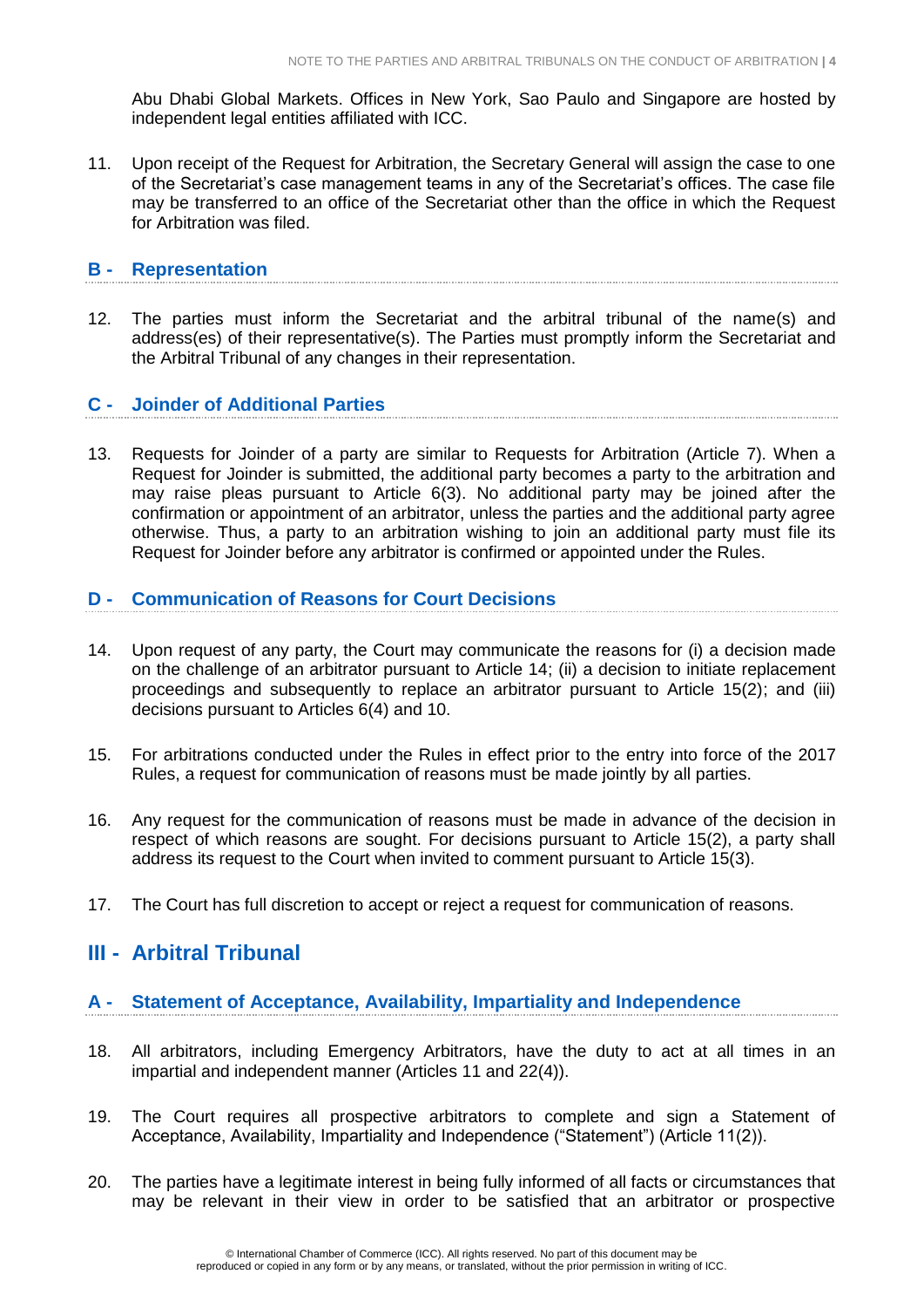Abu Dhabi Global Markets. Offices in New York, Sao Paulo and Singapore are hosted by independent legal entities affiliated with ICC.

11. Upon receipt of the Request for Arbitration, the Secretary General will assign the case to one of the Secretariat's case management teams in any of the Secretariat's offices. The case file may be transferred to an office of the Secretariat other than the office in which the Request for Arbitration was filed.

#### <span id="page-3-0"></span>**B - Representation**

12. The parties must inform the Secretariat and the arbitral tribunal of the name(s) and address(es) of their representative(s). The Parties must promptly inform the Secretariat and the Arbitral Tribunal of any changes in their representation.

### <span id="page-3-1"></span>**C - Joinder of Additional Parties**

13. Requests for Joinder of a party are similar to Requests for Arbitration (Article 7). When a Request for Joinder is submitted, the additional party becomes a party to the arbitration and may raise pleas pursuant to Article 6(3). No additional party may be joined after the confirmation or appointment of an arbitrator, unless the parties and the additional party agree otherwise. Thus, a party to an arbitration wishing to join an additional party must file its Request for Joinder before any arbitrator is confirmed or appointed under the Rules.

#### <span id="page-3-2"></span>**D - Communication of Reasons for Court Decisions**

- 14. Upon request of any party, the Court may communicate the reasons for (i) a decision made on the challenge of an arbitrator pursuant to Article 14; (ii) a decision to initiate replacement proceedings and subsequently to replace an arbitrator pursuant to Article 15(2); and (iii) decisions pursuant to Articles 6(4) and 10.
- 15. For arbitrations conducted under the Rules in effect prior to the entry into force of the 2017 Rules, a request for communication of reasons must be made jointly by all parties.
- 16. Any request for the communication of reasons must be made in advance of the decision in respect of which reasons are sought. For decisions pursuant to Article 15(2), a party shall address its request to the Court when invited to comment pursuant to Article 15(3).
- 17. The Court has full discretion to accept or reject a request for communication of reasons.

# <span id="page-3-3"></span>**III - Arbitral Tribunal**

### <span id="page-3-4"></span>**A - Statement of Acceptance, Availability, Impartiality and Independence**

- 18. All arbitrators, including Emergency Arbitrators, have the duty to act at all times in an impartial and independent manner (Articles 11 and 22(4)).
- 19. The Court requires all prospective arbitrators to complete and sign a Statement of Acceptance, Availability, Impartiality and Independence ("Statement") (Article 11(2)).
- 20. The parties have a legitimate interest in being fully informed of all facts or circumstances that may be relevant in their view in order to be satisfied that an arbitrator or prospective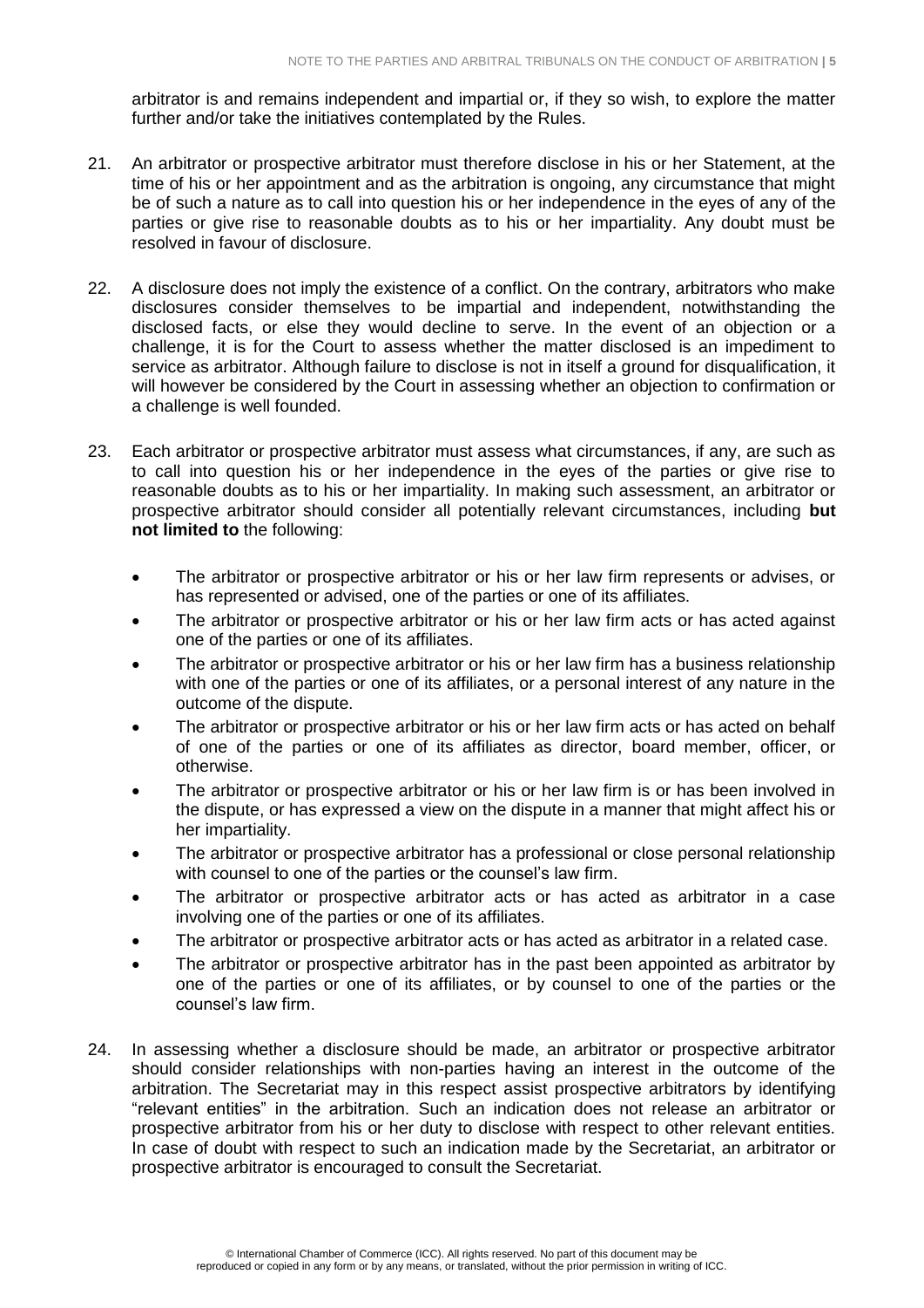arbitrator is and remains independent and impartial or, if they so wish, to explore the matter further and/or take the initiatives contemplated by the Rules.

- 21. An arbitrator or prospective arbitrator must therefore disclose in his or her Statement, at the time of his or her appointment and as the arbitration is ongoing, any circumstance that might be of such a nature as to call into question his or her independence in the eyes of any of the parties or give rise to reasonable doubts as to his or her impartiality. Any doubt must be resolved in favour of disclosure.
- 22. A disclosure does not imply the existence of a conflict. On the contrary, arbitrators who make disclosures consider themselves to be impartial and independent, notwithstanding the disclosed facts, or else they would decline to serve. In the event of an objection or a challenge, it is for the Court to assess whether the matter disclosed is an impediment to service as arbitrator. Although failure to disclose is not in itself a ground for disqualification, it will however be considered by the Court in assessing whether an objection to confirmation or a challenge is well founded.
- 23. Each arbitrator or prospective arbitrator must assess what circumstances, if any, are such as to call into question his or her independence in the eyes of the parties or give rise to reasonable doubts as to his or her impartiality. In making such assessment, an arbitrator or prospective arbitrator should consider all potentially relevant circumstances, including **but not limited to** the following:
	- The arbitrator or prospective arbitrator or his or her law firm represents or advises, or has represented or advised, one of the parties or one of its affiliates.
	- The arbitrator or prospective arbitrator or his or her law firm acts or has acted against one of the parties or one of its affiliates.
	- The arbitrator or prospective arbitrator or his or her law firm has a business relationship with one of the parties or one of its affiliates, or a personal interest of any nature in the outcome of the dispute.
	- The arbitrator or prospective arbitrator or his or her law firm acts or has acted on behalf of one of the parties or one of its affiliates as director, board member, officer, or otherwise.
	- The arbitrator or prospective arbitrator or his or her law firm is or has been involved in the dispute, or has expressed a view on the dispute in a manner that might affect his or her impartiality.
	- The arbitrator or prospective arbitrator has a professional or close personal relationship with counsel to one of the parties or the counsel's law firm.
	- The arbitrator or prospective arbitrator acts or has acted as arbitrator in a case involving one of the parties or one of its affiliates.
	- The arbitrator or prospective arbitrator acts or has acted as arbitrator in a related case.
	- The arbitrator or prospective arbitrator has in the past been appointed as arbitrator by one of the parties or one of its affiliates, or by counsel to one of the parties or the counsel's law firm.
- 24. In assessing whether a disclosure should be made, an arbitrator or prospective arbitrator should consider relationships with non-parties having an interest in the outcome of the arbitration. The Secretariat may in this respect assist prospective arbitrators by identifying "relevant entities" in the arbitration. Such an indication does not release an arbitrator or prospective arbitrator from his or her duty to disclose with respect to other relevant entities. In case of doubt with respect to such an indication made by the Secretariat, an arbitrator or prospective arbitrator is encouraged to consult the Secretariat.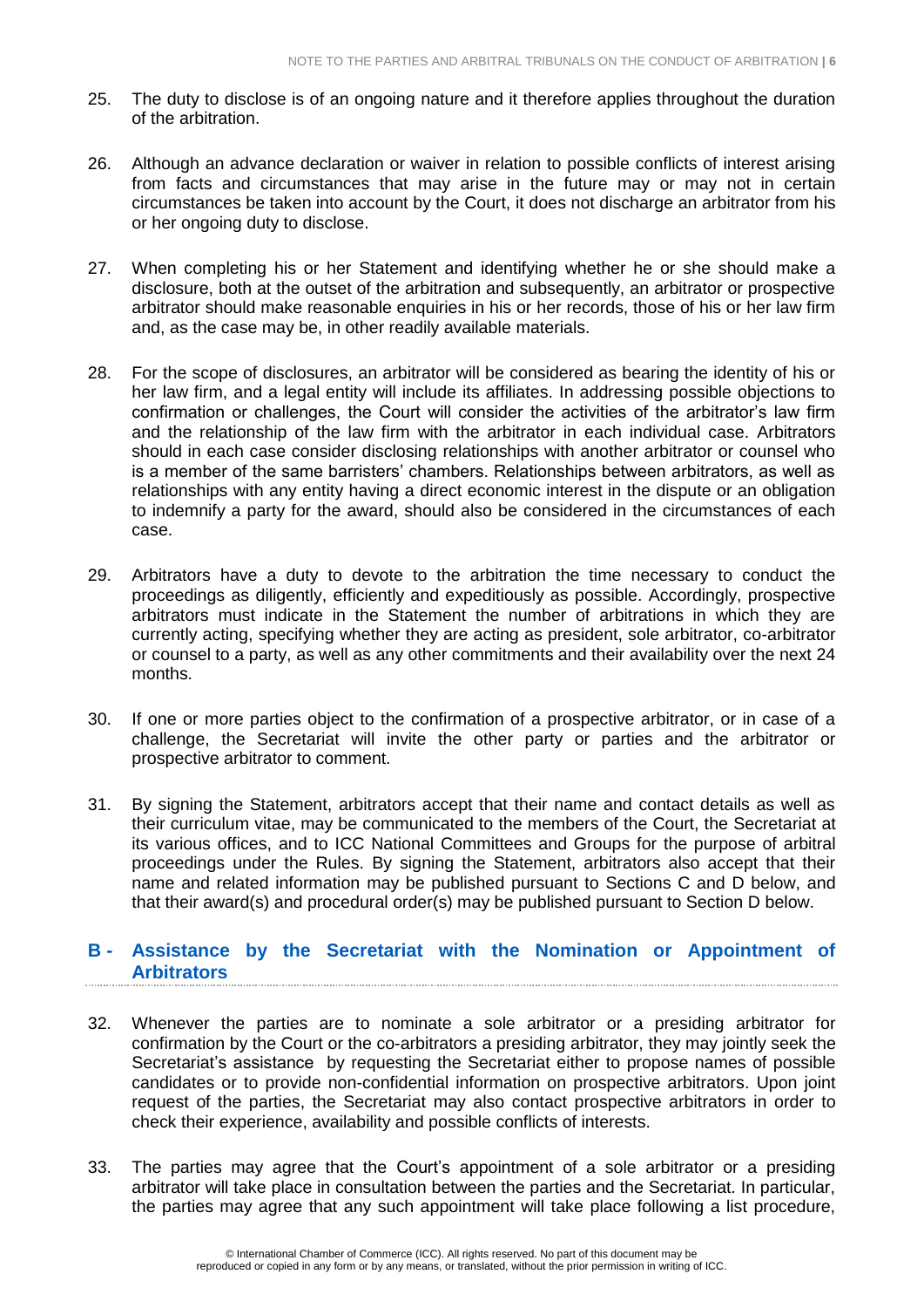- 25. The duty to disclose is of an ongoing nature and it therefore applies throughout the duration of the arbitration.
- 26. Although an advance declaration or waiver in relation to possible conflicts of interest arising from facts and circumstances that may arise in the future may or may not in certain circumstances be taken into account by the Court, it does not discharge an arbitrator from his or her ongoing duty to disclose.
- 27. When completing his or her Statement and identifying whether he or she should make a disclosure, both at the outset of the arbitration and subsequently, an arbitrator or prospective arbitrator should make reasonable enquiries in his or her records, those of his or her law firm and, as the case may be, in other readily available materials.
- 28. For the scope of disclosures, an arbitrator will be considered as bearing the identity of his or her law firm, and a legal entity will include its affiliates. In addressing possible objections to confirmation or challenges, the Court will consider the activities of the arbitrator's law firm and the relationship of the law firm with the arbitrator in each individual case. Arbitrators should in each case consider disclosing relationships with another arbitrator or counsel who is a member of the same barristers' chambers. Relationships between arbitrators, as well as relationships with any entity having a direct economic interest in the dispute or an obligation to indemnify a party for the award, should also be considered in the circumstances of each case.
- 29. Arbitrators have a duty to devote to the arbitration the time necessary to conduct the proceedings as diligently, efficiently and expeditiously as possible. Accordingly, prospective arbitrators must indicate in the Statement the number of arbitrations in which they are currently acting, specifying whether they are acting as president, sole arbitrator, co-arbitrator or counsel to a party, as well as any other commitments and their availability over the next 24 months.
- 30. If one or more parties object to the confirmation of a prospective arbitrator, or in case of a challenge, the Secretariat will invite the other party or parties and the arbitrator or prospective arbitrator to comment.
- 31. By signing the Statement, arbitrators accept that their name and contact details as well as their curriculum vitae, may be communicated to the members of the Court, the Secretariat at its various offices, and to ICC National Committees and Groups for the purpose of arbitral proceedings under the Rules. By signing the Statement, arbitrators also accept that their name and related information may be published pursuant to Sections C and D below, and that their award(s) and procedural order(s) may be published pursuant to Section D below.

### <span id="page-5-0"></span>**B - Assistance by the Secretariat with the Nomination or Appointment of Arbitrators**

- 32. Whenever the parties are to nominate a sole arbitrator or a presiding arbitrator for confirmation by the Court or the co-arbitrators a presiding arbitrator, they may jointly seek the Secretariat's assistance by requesting the Secretariat either to propose names of possible candidates or to provide non-confidential information on prospective arbitrators. Upon joint request of the parties, the Secretariat may also contact prospective arbitrators in order to check their experience, availability and possible conflicts of interests.
- 33. The parties may agree that the Court's appointment of a sole arbitrator or a presiding arbitrator will take place in consultation between the parties and the Secretariat. In particular, the parties may agree that any such appointment will take place following a list procedure,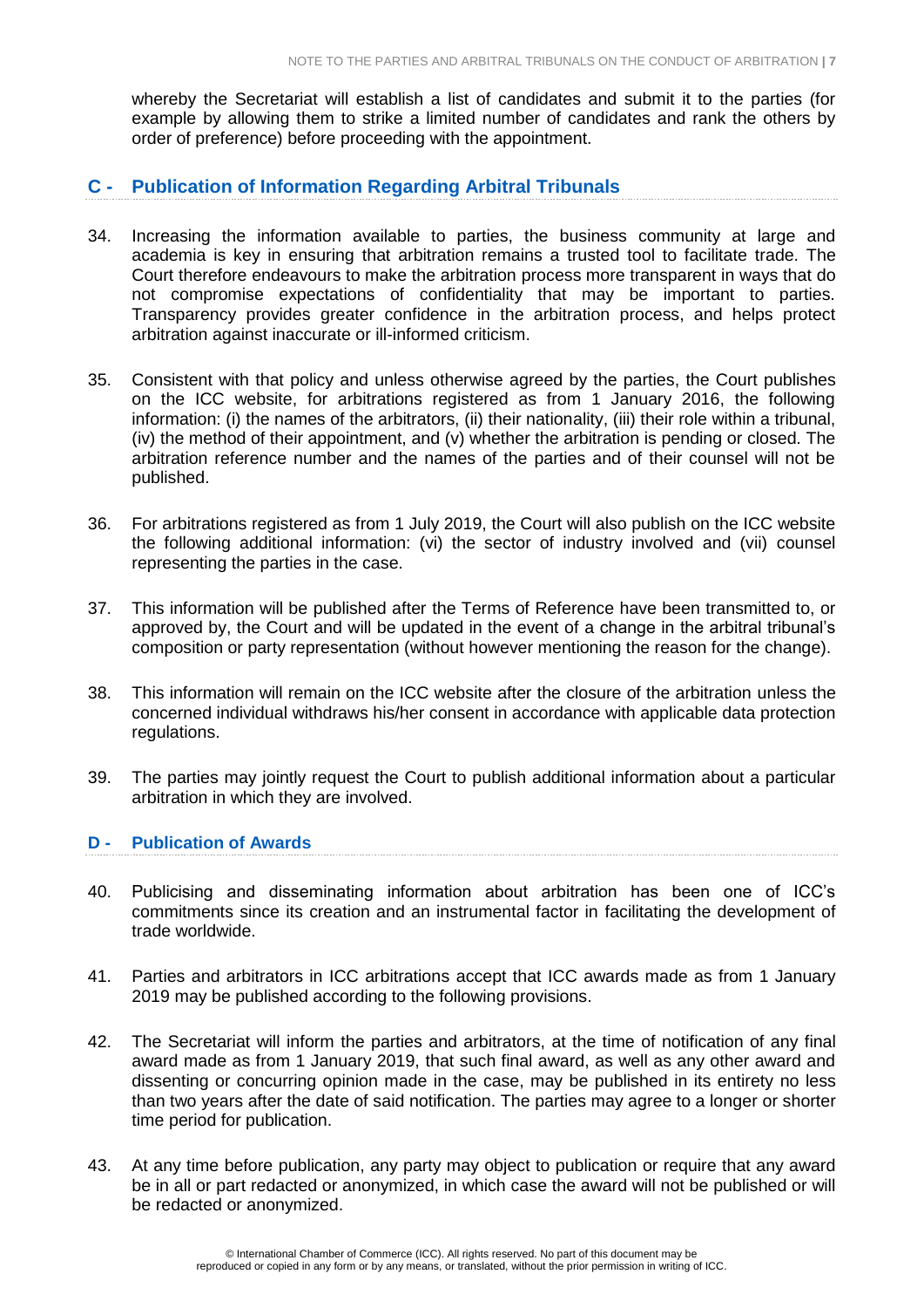whereby the Secretariat will establish a list of candidates and submit it to the parties (for example by allowing them to strike a limited number of candidates and rank the others by order of preference) before proceeding with the appointment.

### <span id="page-6-0"></span>**C - Publication of Information Regarding Arbitral Tribunals**

- 34. Increasing the information available to parties, the business community at large and academia is key in ensuring that arbitration remains a trusted tool to facilitate trade. The Court therefore endeavours to make the arbitration process more transparent in ways that do not compromise expectations of confidentiality that may be important to parties. Transparency provides greater confidence in the arbitration process, and helps protect arbitration against inaccurate or ill-informed criticism.
- 35. Consistent with that policy and unless otherwise agreed by the parties, the Court publishes on the ICC website, for arbitrations registered as from 1 January 2016, the following information: (i) the names of the arbitrators, (ii) their nationality, (iii) their role within a tribunal, (iv) the method of their appointment, and (v) whether the arbitration is pending or closed. The arbitration reference number and the names of the parties and of their counsel will not be published.
- 36. For arbitrations registered as from 1 July 2019, the Court will also publish on the ICC website the following additional information: (vi) the sector of industry involved and (vii) counsel representing the parties in the case.
- 37. This information will be published after the Terms of Reference have been transmitted to, or approved by, the Court and will be updated in the event of a change in the arbitral tribunal's composition or party representation (without however mentioning the reason for the change).
- 38. This information will remain on the ICC website after the closure of the arbitration unless the concerned individual withdraws his/her consent in accordance with applicable data protection regulations.
- 39. The parties may jointly request the Court to publish additional information about a particular arbitration in which they are involved.

#### <span id="page-6-1"></span>**D - Publication of Awards**

- 40. Publicising and disseminating information about arbitration has been one of ICC's commitments since its creation and an instrumental factor in facilitating the development of trade worldwide.
- 41. Parties and arbitrators in ICC arbitrations accept that ICC awards made as from 1 January 2019 may be published according to the following provisions.
- 42. The Secretariat will inform the parties and arbitrators, at the time of notification of any final award made as from 1 January 2019, that such final award, as well as any other award and dissenting or concurring opinion made in the case, may be published in its entirety no less than two years after the date of said notification. The parties may agree to a longer or shorter time period for publication.
- 43. At any time before publication, any party may object to publication or require that any award be in all or part redacted or anonymized, in which case the award will not be published or will be redacted or anonymized.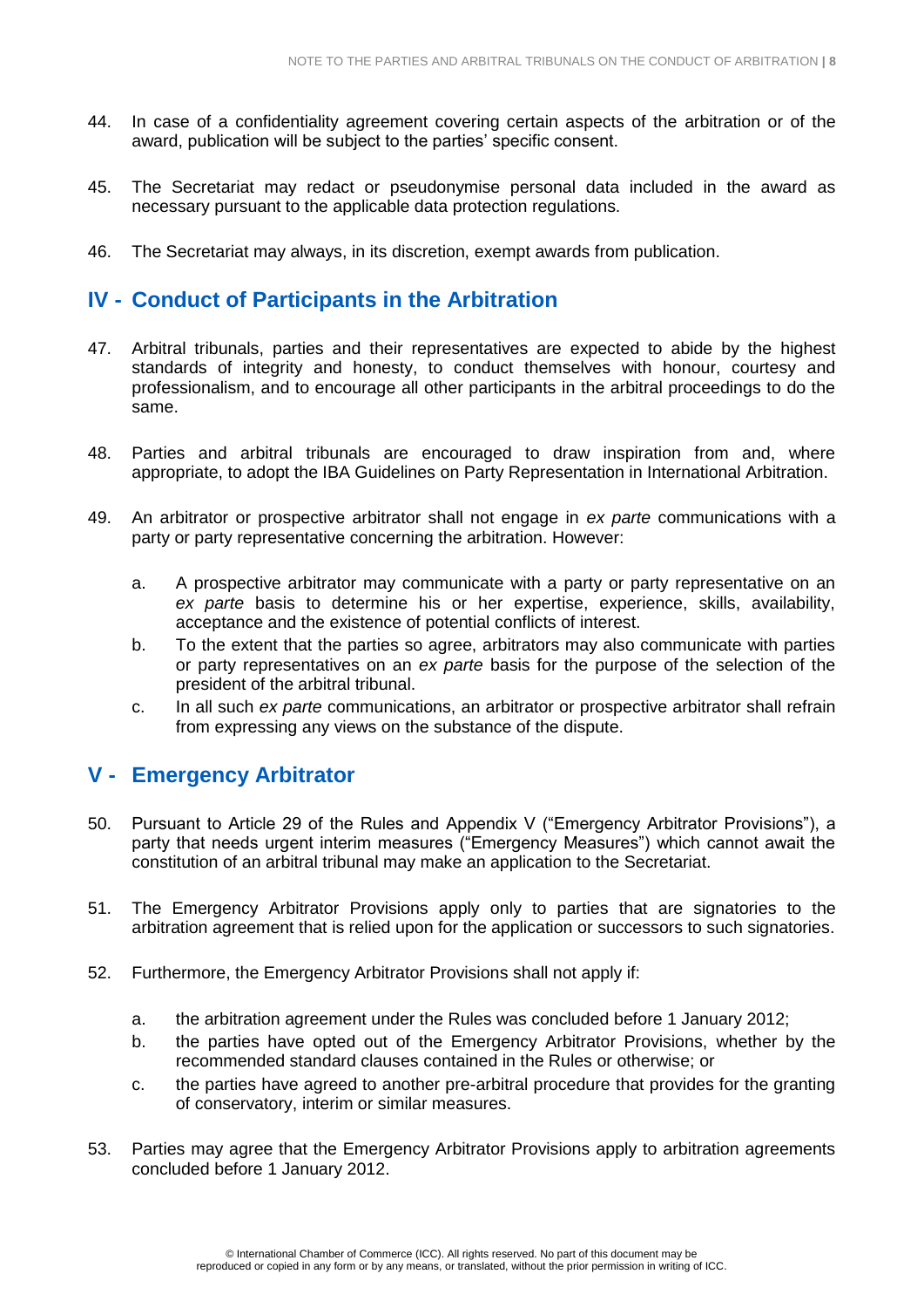- 44. In case of a confidentiality agreement covering certain aspects of the arbitration or of the award, publication will be subject to the parties' specific consent.
- 45. The Secretariat may redact or pseudonymise personal data included in the award as necessary pursuant to the applicable data protection regulations.
- 46. The Secretariat may always, in its discretion, exempt awards from publication.

# <span id="page-7-0"></span>**IV - Conduct of Participants in the Arbitration**

- 47. Arbitral tribunals, parties and their representatives are expected to abide by the highest standards of integrity and honesty, to conduct themselves with honour, courtesy and professionalism, and to encourage all other participants in the arbitral proceedings to do the same.
- 48. Parties and arbitral tribunals are encouraged to draw inspiration from and, where appropriate, to adopt the IBA Guidelines on Party Representation in International Arbitration.
- 49. An arbitrator or prospective arbitrator shall not engage in *ex parte* communications with a party or party representative concerning the arbitration. However:
	- a. A prospective arbitrator may communicate with a party or party representative on an *ex parte* basis to determine his or her expertise, experience, skills, availability, acceptance and the existence of potential conflicts of interest.
	- b. To the extent that the parties so agree, arbitrators may also communicate with parties or party representatives on an *ex parte* basis for the purpose of the selection of the president of the arbitral tribunal.
	- c. In all such *ex parte* communications, an arbitrator or prospective arbitrator shall refrain from expressing any views on the substance of the dispute.

# <span id="page-7-1"></span>**V - Emergency Arbitrator**

- 50. Pursuant to Article 29 of the Rules and Appendix V ("Emergency Arbitrator Provisions"), a party that needs urgent interim measures ("Emergency Measures") which cannot await the constitution of an arbitral tribunal may make an application to the Secretariat.
- 51. The Emergency Arbitrator Provisions apply only to parties that are signatories to the arbitration agreement that is relied upon for the application or successors to such signatories.
- 52. Furthermore, the Emergency Arbitrator Provisions shall not apply if:
	- a. the arbitration agreement under the Rules was concluded before 1 January 2012;
	- b. the parties have opted out of the Emergency Arbitrator Provisions, whether by the recommended standard clauses contained in the Rules or otherwise; or
	- c. the parties have agreed to another pre-arbitral procedure that provides for the granting of conservatory, interim or similar measures.
- 53. Parties may agree that the Emergency Arbitrator Provisions apply to arbitration agreements concluded before 1 January 2012.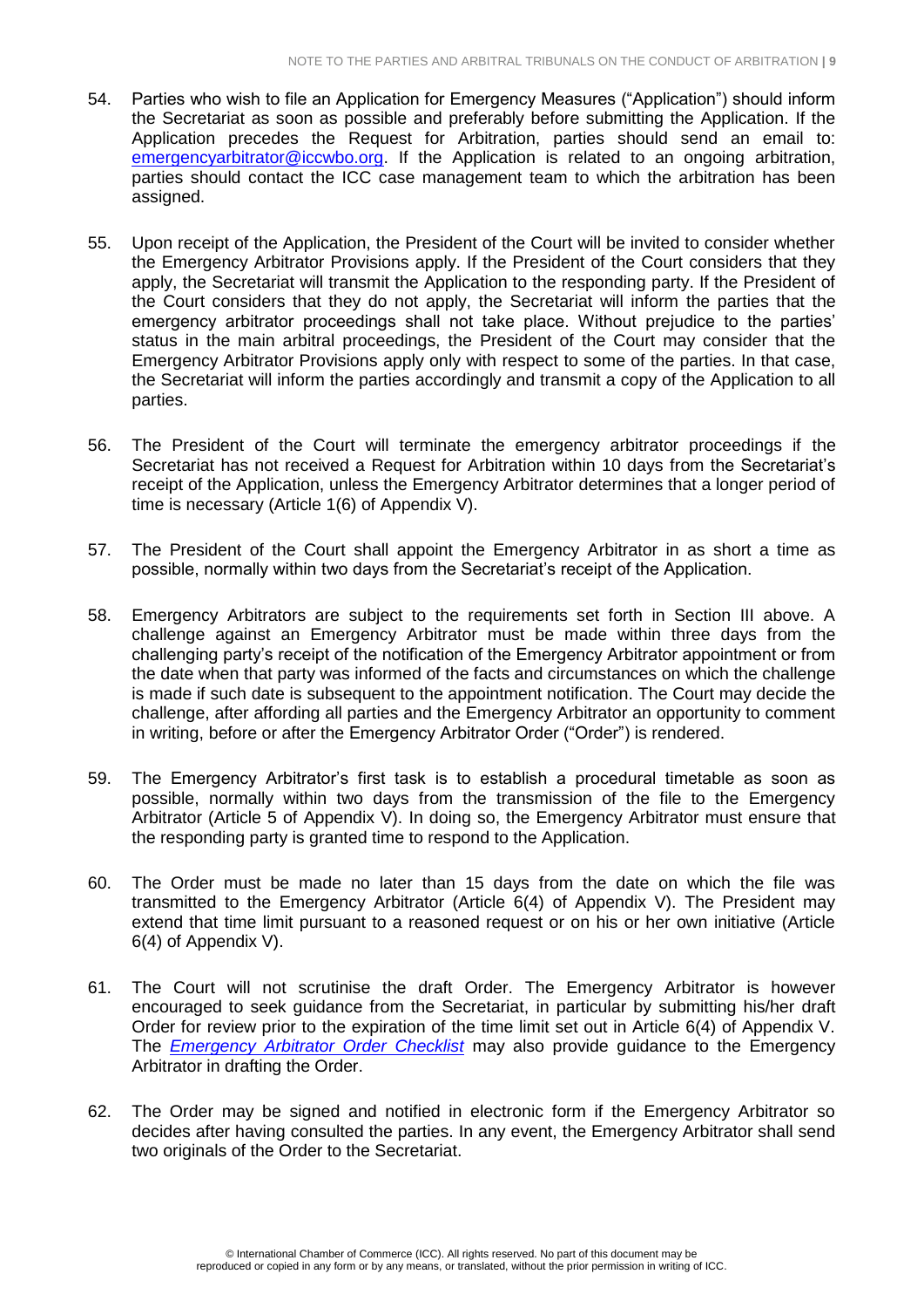- 54. Parties who wish to file an Application for Emergency Measures ("Application") should inform the Secretariat as soon as possible and preferably before submitting the Application. If the Application precedes the Request for Arbitration, parties should send an email to: [emergencyarbitrator@iccwbo.org.](mailto:emergencyarbitrator@iccwbo.org) If the Application is related to an ongoing arbitration, parties should contact the ICC case management team to which the arbitration has been assigned.
- 55. Upon receipt of the Application, the President of the Court will be invited to consider whether the Emergency Arbitrator Provisions apply. If the President of the Court considers that they apply, the Secretariat will transmit the Application to the responding party. If the President of the Court considers that they do not apply, the Secretariat will inform the parties that the emergency arbitrator proceedings shall not take place. Without prejudice to the parties' status in the main arbitral proceedings, the President of the Court may consider that the Emergency Arbitrator Provisions apply only with respect to some of the parties. In that case, the Secretariat will inform the parties accordingly and transmit a copy of the Application to all parties.
- 56. The President of the Court will terminate the emergency arbitrator proceedings if the Secretariat has not received a Request for Arbitration within 10 days from the Secretariat's receipt of the Application, unless the Emergency Arbitrator determines that a longer period of time is necessary (Article 1(6) of Appendix V).
- 57. The President of the Court shall appoint the Emergency Arbitrator in as short a time as possible, normally within two days from the Secretariat's receipt of the Application.
- 58. Emergency Arbitrators are subject to the requirements set forth in Section III above. A challenge against an Emergency Arbitrator must be made within three days from the challenging party's receipt of the notification of the Emergency Arbitrator appointment or from the date when that party was informed of the facts and circumstances on which the challenge is made if such date is subsequent to the appointment notification. The Court may decide the challenge, after affording all parties and the Emergency Arbitrator an opportunity to comment in writing, before or after the Emergency Arbitrator Order ("Order") is rendered.
- 59. The Emergency Arbitrator's first task is to establish a procedural timetable as soon as possible, normally within two days from the transmission of the file to the Emergency Arbitrator (Article 5 of Appendix V). In doing so, the Emergency Arbitrator must ensure that the responding party is granted time to respond to the Application.
- 60. The Order must be made no later than 15 days from the date on which the file was transmitted to the Emergency Arbitrator (Article 6(4) of Appendix V). The President may extend that time limit pursuant to a reasoned request or on his or her own initiative (Article 6(4) of Appendix V).
- 61. The Court will not scrutinise the draft Order. The Emergency Arbitrator is however encouraged to seek guidance from the Secretariat, in particular by submitting his/her draft Order for review prior to the expiration of the time limit set out in Article 6(4) of Appendix V. The *[Emergency Arbitrator Order Checklist](https://iccwbo.org/publication/icc-emergency-arbitrator-order-checklist)* may also provide guidance to the Emergency Arbitrator in drafting the Order.
- 62. The Order may be signed and notified in electronic form if the Emergency Arbitrator so decides after having consulted the parties. In any event, the Emergency Arbitrator shall send two originals of the Order to the Secretariat.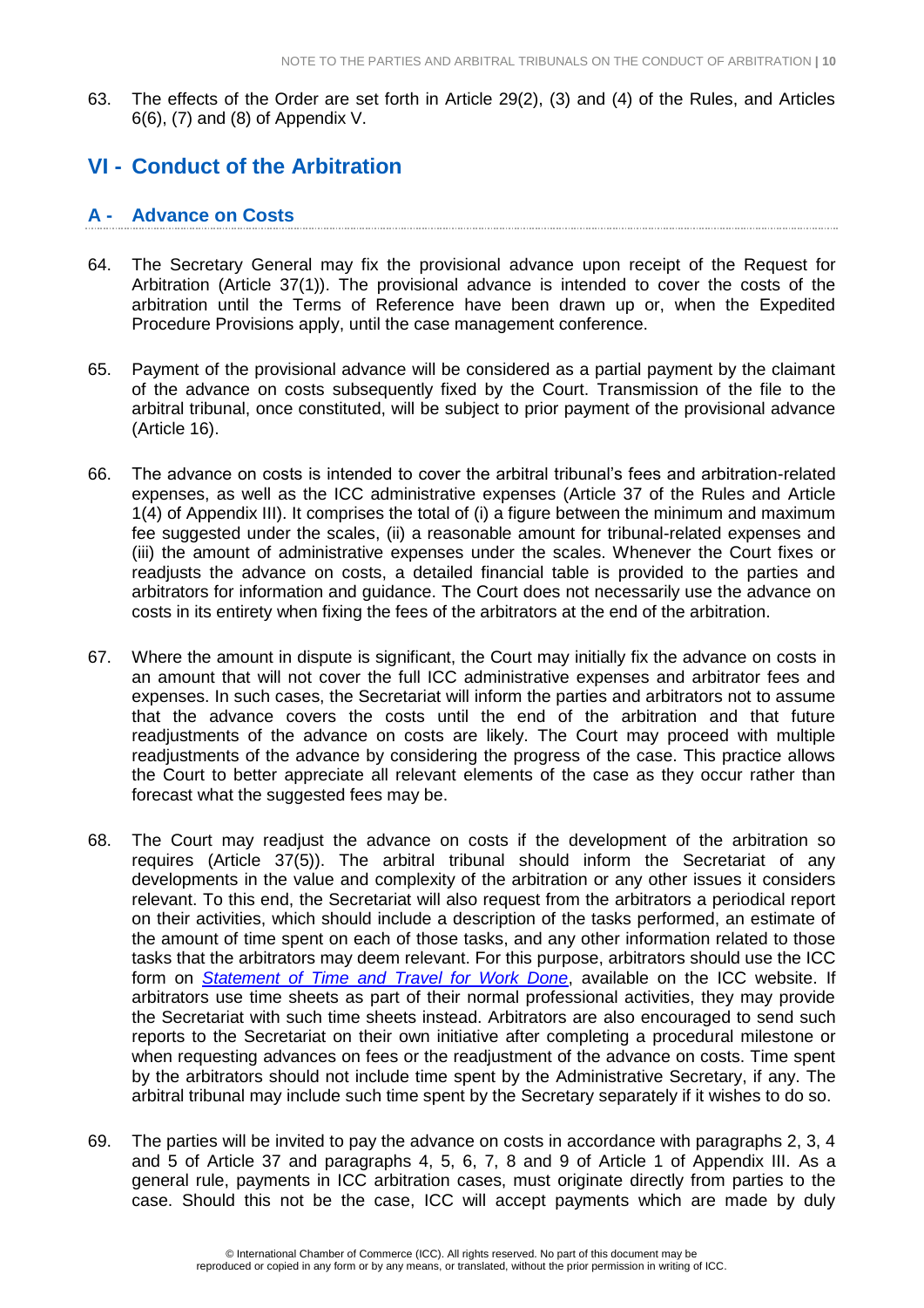63. The effects of the Order are set forth in Article 29(2), (3) and (4) of the Rules, and Articles 6(6), (7) and (8) of Appendix V.

# <span id="page-9-0"></span>**VI - Conduct of the Arbitration**

### <span id="page-9-1"></span>**A - Advance on Costs**

- 64. The Secretary General may fix the provisional advance upon receipt of the Request for Arbitration (Article 37(1)). The provisional advance is intended to cover the costs of the arbitration until the Terms of Reference have been drawn up or, when the Expedited Procedure Provisions apply, until the case management conference.
- 65. Payment of the provisional advance will be considered as a partial payment by the claimant of the advance on costs subsequently fixed by the Court. Transmission of the file to the arbitral tribunal, once constituted, will be subject to prior payment of the provisional advance (Article 16).
- 66. The advance on costs is intended to cover the arbitral tribunal's fees and arbitration-related expenses, as well as the ICC administrative expenses (Article 37 of the Rules and Article 1(4) of Appendix III). It comprises the total of (i) a figure between the minimum and maximum fee suggested under the scales, (ii) a reasonable amount for tribunal-related expenses and (iii) the amount of administrative expenses under the scales. Whenever the Court fixes or readjusts the advance on costs, a detailed financial table is provided to the parties and arbitrators for information and guidance. The Court does not necessarily use the advance on costs in its entirety when fixing the fees of the arbitrators at the end of the arbitration.
- 67. Where the amount in dispute is significant, the Court may initially fix the advance on costs in an amount that will not cover the full ICC administrative expenses and arbitrator fees and expenses. In such cases, the Secretariat will inform the parties and arbitrators not to assume that the advance covers the costs until the end of the arbitration and that future readjustments of the advance on costs are likely. The Court may proceed with multiple readjustments of the advance by considering the progress of the case. This practice allows the Court to better appreciate all relevant elements of the case as they occur rather than forecast what the suggested fees may be.
- 68. The Court may readjust the advance on costs if the development of the arbitration so requires (Article 37(5)). The arbitral tribunal should inform the Secretariat of any developments in the value and complexity of the arbitration or any other issues it considers relevant. To this end, the Secretariat will also request from the arbitrators a periodical report on their activities, which should include a description of the tasks performed, an estimate of the amount of time spent on each of those tasks, and any other information related to those tasks that the arbitrators may deem relevant. For this purpose, arbitrators should use the ICC form on *[Statement of Time and Travel for Work Done](https://iccwbo.org/publication/statement-time-travel-work-done)*, available on the ICC website. If arbitrators use time sheets as part of their normal professional activities, they may provide the Secretariat with such time sheets instead. Arbitrators are also encouraged to send such reports to the Secretariat on their own initiative after completing a procedural milestone or when requesting advances on fees or the readjustment of the advance on costs. Time spent by the arbitrators should not include time spent by the Administrative Secretary, if any. The arbitral tribunal may include such time spent by the Secretary separately if it wishes to do so.
- 69. The parties will be invited to pay the advance on costs in accordance with paragraphs 2, 3, 4 and 5 of Article 37 and paragraphs 4, 5, 6, 7, 8 and 9 of Article 1 of Appendix III. As a general rule, payments in ICC arbitration cases, must originate directly from parties to the case. Should this not be the case, ICC will accept payments which are made by duly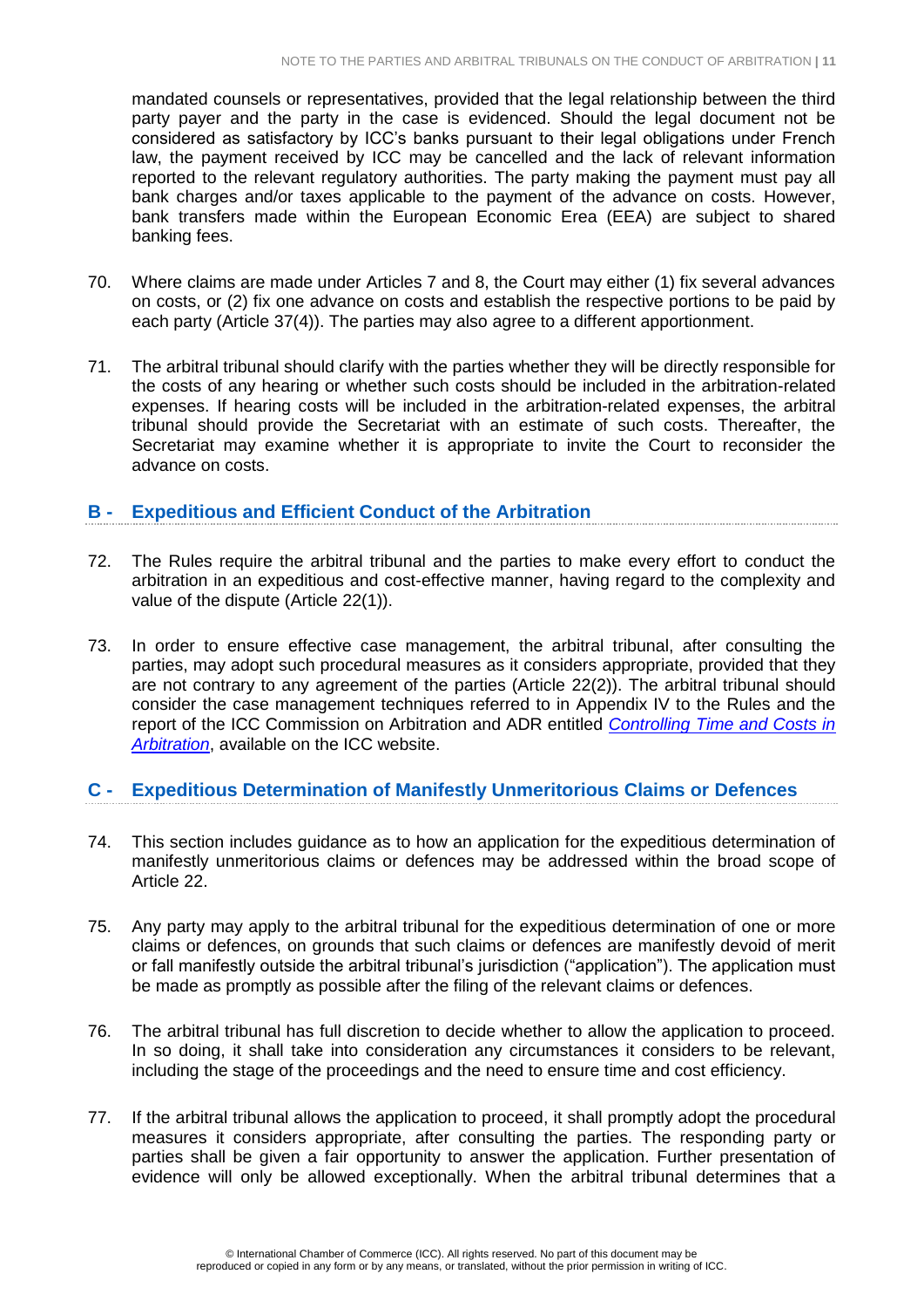mandated counsels or representatives, provided that the legal relationship between the third party payer and the party in the case is evidenced. Should the legal document not be considered as satisfactory by ICC's banks pursuant to their legal obligations under French law, the payment received by ICC may be cancelled and the lack of relevant information reported to the relevant regulatory authorities. The party making the payment must pay all bank charges and/or taxes applicable to the payment of the advance on costs. However, bank transfers made within the European Economic Erea (EEA) are subject to shared banking fees.

- 70. Where claims are made under Articles 7 and 8, the Court may either (1) fix several advances on costs, or (2) fix one advance on costs and establish the respective portions to be paid by each party (Article 37(4)). The parties may also agree to a different apportionment.
- 71. The arbitral tribunal should clarify with the parties whether they will be directly responsible for the costs of any hearing or whether such costs should be included in the arbitration-related expenses. If hearing costs will be included in the arbitration-related expenses, the arbitral tribunal should provide the Secretariat with an estimate of such costs. Thereafter, the Secretariat may examine whether it is appropriate to invite the Court to reconsider the advance on costs.

#### <span id="page-10-0"></span>**B - Expeditious and Efficient Conduct of the Arbitration**

- 72. The Rules require the arbitral tribunal and the parties to make every effort to conduct the arbitration in an expeditious and cost-effective manner, having regard to the complexity and value of the dispute (Article 22(1)).
- 73. In order to ensure effective case management, the arbitral tribunal, after consulting the parties, may adopt such procedural measures as it considers appropriate, provided that they are not contrary to any agreement of the parties (Article 22(2)). The arbitral tribunal should consider the case management techniques referred to in Appendix IV to the Rules and the report of the ICC Commission on Arbitration and ADR entitled *[Controlling Time and Costs in](http://www.iccwbo.org/Advocacy-Codes-and-Rules/Document-centre/2012/ICC-Arbitration-Commission-Report-on-Techniques-for-Controlling-Time-and-Costs-in-Arbitration/)  [Arbitration](http://www.iccwbo.org/Advocacy-Codes-and-Rules/Document-centre/2012/ICC-Arbitration-Commission-Report-on-Techniques-for-Controlling-Time-and-Costs-in-Arbitration/)*, available on the ICC website.

#### <span id="page-10-1"></span>**C - Expeditious Determination of Manifestly Unmeritorious Claims or Defences**

- 74. This section includes guidance as to how an application for the expeditious determination of manifestly unmeritorious claims or defences may be addressed within the broad scope of Article 22.
- 75. Any party may apply to the arbitral tribunal for the expeditious determination of one or more claims or defences, on grounds that such claims or defences are manifestly devoid of merit or fall manifestly outside the arbitral tribunal's jurisdiction ("application"). The application must be made as promptly as possible after the filing of the relevant claims or defences.
- 76. The arbitral tribunal has full discretion to decide whether to allow the application to proceed. In so doing, it shall take into consideration any circumstances it considers to be relevant, including the stage of the proceedings and the need to ensure time and cost efficiency.
- 77. If the arbitral tribunal allows the application to proceed, it shall promptly adopt the procedural measures it considers appropriate, after consulting the parties. The responding party or parties shall be given a fair opportunity to answer the application. Further presentation of evidence will only be allowed exceptionally. When the arbitral tribunal determines that a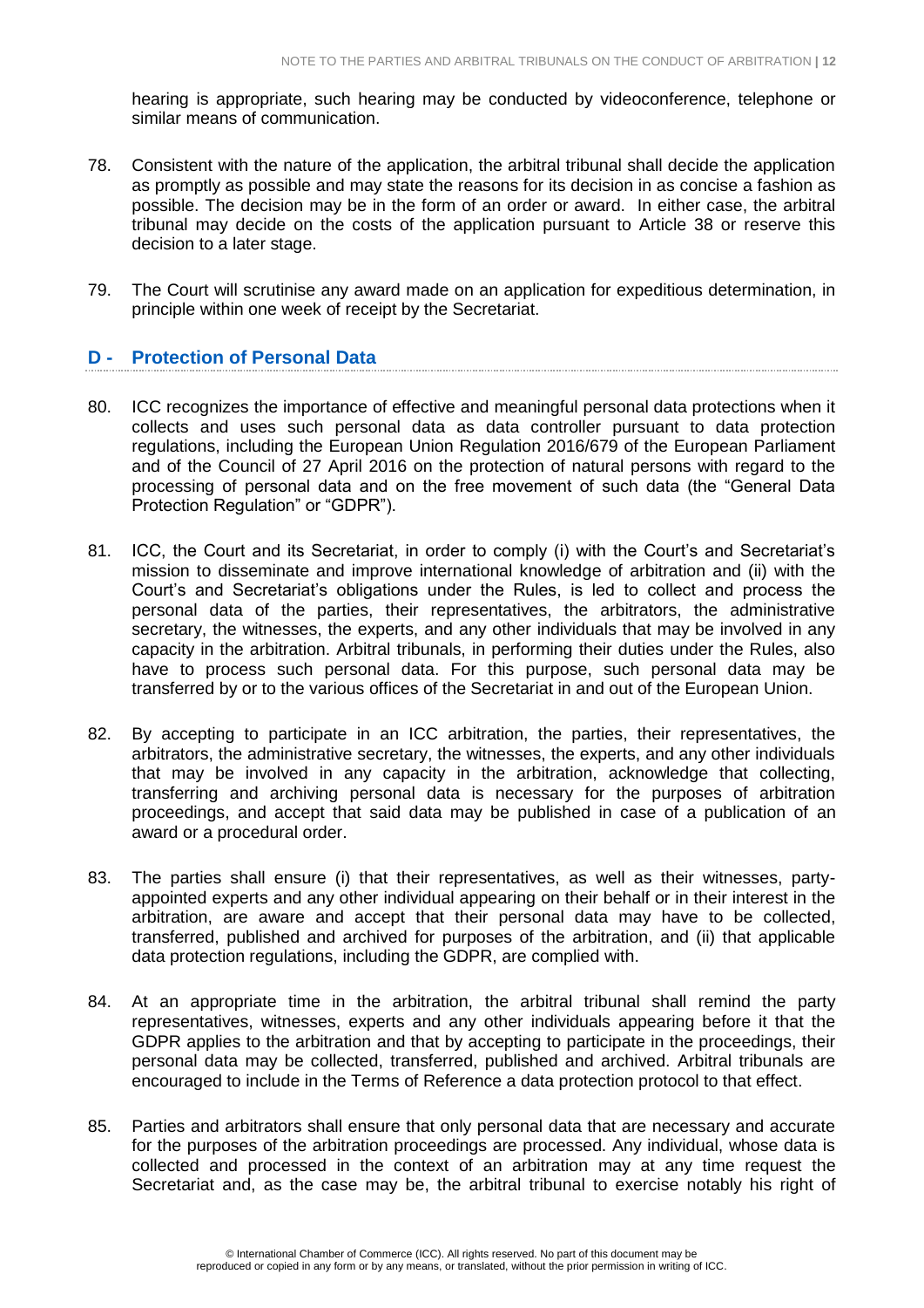hearing is appropriate, such hearing may be conducted by videoconference, telephone or similar means of communication.

- 78. Consistent with the nature of the application, the arbitral tribunal shall decide the application as promptly as possible and may state the reasons for its decision in as concise a fashion as possible. The decision may be in the form of an order or award. In either case, the arbitral tribunal may decide on the costs of the application pursuant to Article 38 or reserve this decision to a later stage.
- 79. The Court will scrutinise any award made on an application for expeditious determination, in principle within one week of receipt by the Secretariat.

### <span id="page-11-0"></span>**D - Protection of Personal Data**

- 80. ICC recognizes the importance of effective and meaningful personal data protections when it collects and uses such personal data as data controller pursuant to data protection regulations, including the European Union Regulation 2016/679 of the European Parliament and of the Council of 27 April 2016 on the protection of natural persons with regard to the processing of personal data and on the free movement of such data (the "General Data Protection Regulation" or "GDPR").
- 81. ICC, the Court and its Secretariat, in order to comply (i) with the Court's and Secretariat's mission to disseminate and improve international knowledge of arbitration and (ii) with the Court's and Secretariat's obligations under the Rules, is led to collect and process the personal data of the parties, their representatives, the arbitrators, the administrative secretary, the witnesses, the experts, and any other individuals that may be involved in any capacity in the arbitration. Arbitral tribunals, in performing their duties under the Rules, also have to process such personal data. For this purpose, such personal data may be transferred by or to the various offices of the Secretariat in and out of the European Union.
- 82. By accepting to participate in an ICC arbitration, the parties, their representatives, the arbitrators, the administrative secretary, the witnesses, the experts, and any other individuals that may be involved in any capacity in the arbitration, acknowledge that collecting, transferring and archiving personal data is necessary for the purposes of arbitration proceedings, and accept that said data may be published in case of a publication of an award or a procedural order.
- 83. The parties shall ensure (i) that their representatives, as well as their witnesses, partyappointed experts and any other individual appearing on their behalf or in their interest in the arbitration, are aware and accept that their personal data may have to be collected, transferred, published and archived for purposes of the arbitration, and (ii) that applicable data protection regulations, including the GDPR, are complied with.
- 84. At an appropriate time in the arbitration, the arbitral tribunal shall remind the party representatives, witnesses, experts and any other individuals appearing before it that the GDPR applies to the arbitration and that by accepting to participate in the proceedings, their personal data may be collected, transferred, published and archived. Arbitral tribunals are encouraged to include in the Terms of Reference a data protection protocol to that effect.
- 85. Parties and arbitrators shall ensure that only personal data that are necessary and accurate for the purposes of the arbitration proceedings are processed. Any individual, whose data is collected and processed in the context of an arbitration may at any time request the Secretariat and, as the case may be, the arbitral tribunal to exercise notably his right of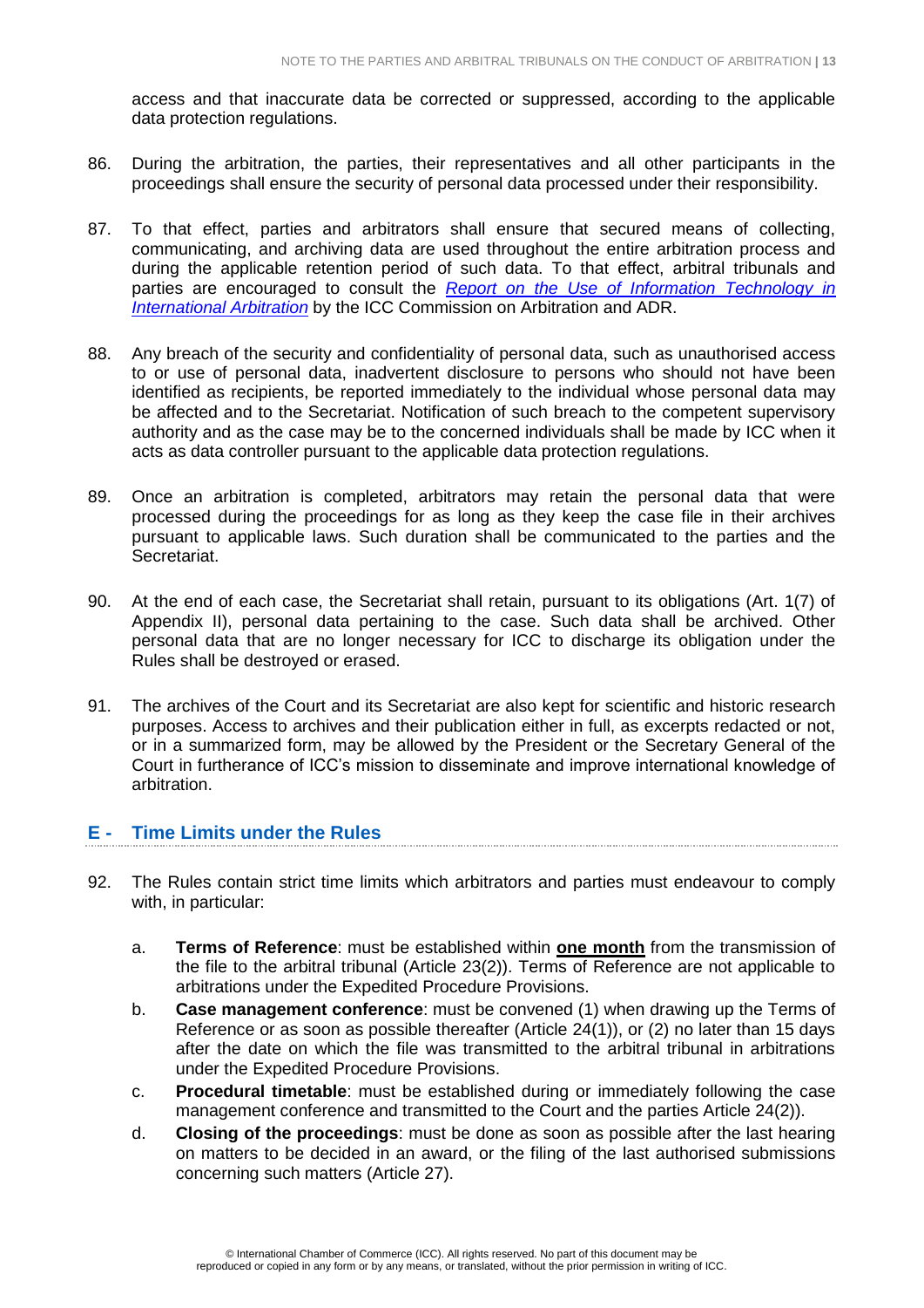access and that inaccurate data be corrected or suppressed, according to the applicable data protection regulations.

- 86. During the arbitration, the parties, their representatives and all other participants in the proceedings shall ensure the security of personal data processed under their responsibility.
- 87. To that effect, parties and arbitrators shall ensure that secured means of collecting, communicating, and archiving data are used throughout the entire arbitration process and during the applicable retention period of such data. To that effect, arbitral tribunals and parties are encouraged to consult the *Report on [the Use of Information Technology in](https://iccwbo.org/publication/information-technology-international-arbitration-report-icc-commission-arbitration-adr/)  [International Arbitration](https://iccwbo.org/publication/information-technology-international-arbitration-report-icc-commission-arbitration-adr/)* by the ICC Commission on Arbitration and ADR.
- 88. Any breach of the security and confidentiality of personal data, such as unauthorised access to or use of personal data, inadvertent disclosure to persons who should not have been identified as recipients, be reported immediately to the individual whose personal data may be affected and to the Secretariat. Notification of such breach to the competent supervisory authority and as the case may be to the concerned individuals shall be made by ICC when it acts as data controller pursuant to the applicable data protection regulations.
- 89. Once an arbitration is completed, arbitrators may retain the personal data that were processed during the proceedings for as long as they keep the case file in their archives pursuant to applicable laws. Such duration shall be communicated to the parties and the Secretariat.
- 90. At the end of each case, the Secretariat shall retain, pursuant to its obligations (Art. 1(7) of Appendix II), personal data pertaining to the case. Such data shall be archived. Other personal data that are no longer necessary for ICC to discharge its obligation under the Rules shall be destroyed or erased.
- 91. The archives of the Court and its Secretariat are also kept for scientific and historic research purposes. Access to archives and their publication either in full, as excerpts redacted or not, or in a summarized form, may be allowed by the President or the Secretary General of the Court in furtherance of ICC's mission to disseminate and improve international knowledge of arbitration.

### <span id="page-12-0"></span>**E - Time Limits under the Rules**

- 92. The Rules contain strict time limits which arbitrators and parties must endeavour to comply with, in particular:
	- a. **Terms of Reference**: must be established within **one month** from the transmission of the file to the arbitral tribunal (Article 23(2)). Terms of Reference are not applicable to arbitrations under the Expedited Procedure Provisions.
	- b. **Case management conference**: must be convened (1) when drawing up the Terms of Reference or as soon as possible thereafter (Article 24(1)), or (2) no later than 15 days after the date on which the file was transmitted to the arbitral tribunal in arbitrations under the Expedited Procedure Provisions.
	- c. **Procedural timetable**: must be established during or immediately following the case management conference and transmitted to the Court and the parties Article 24(2)).
	- d. **Closing of the proceedings**: must be done as soon as possible after the last hearing on matters to be decided in an award, or the filing of the last authorised submissions concerning such matters (Article 27).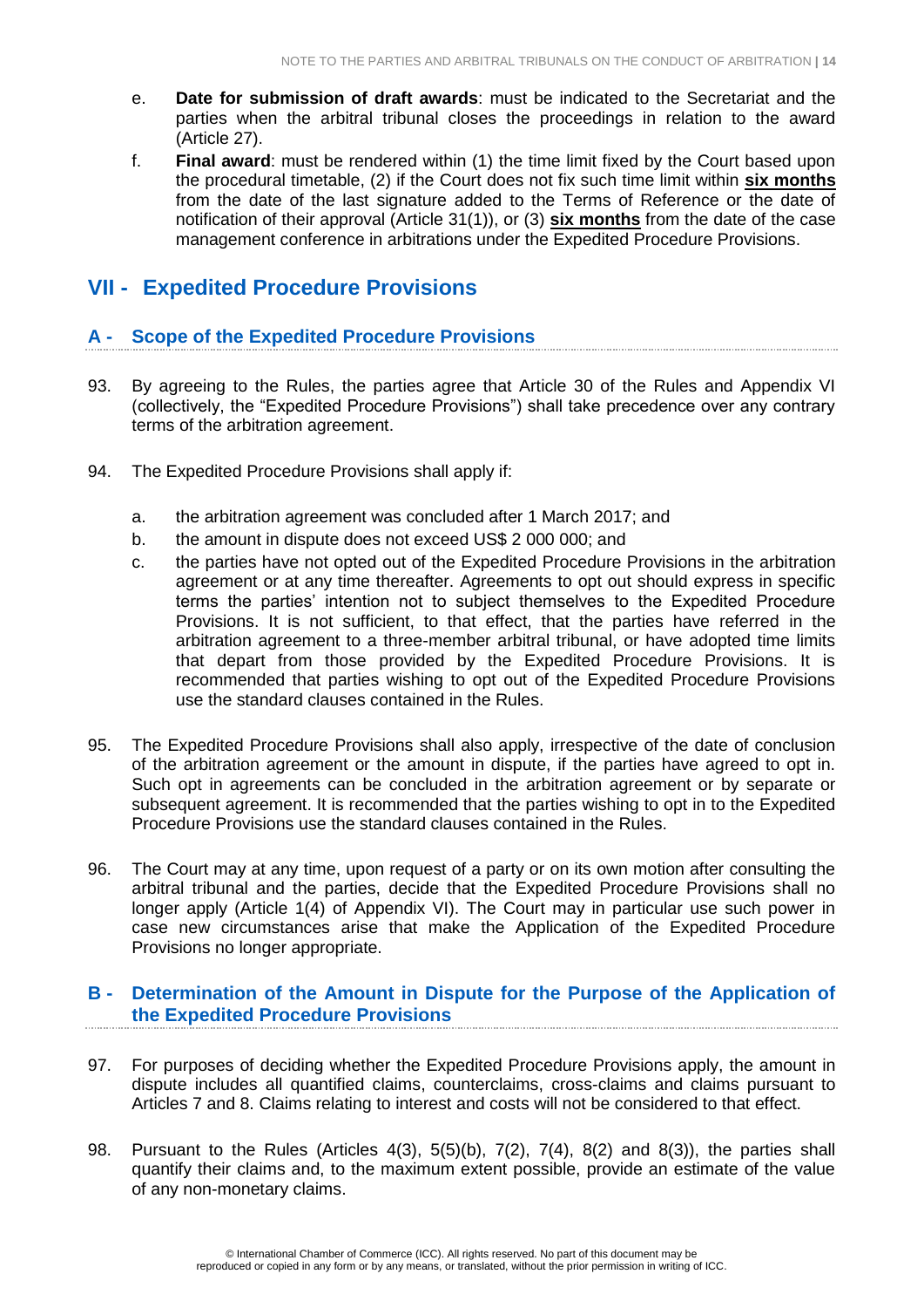- e. **Date for submission of draft awards**: must be indicated to the Secretariat and the parties when the arbitral tribunal closes the proceedings in relation to the award (Article 27).
- f. **Final award**: must be rendered within (1) the time limit fixed by the Court based upon the procedural timetable, (2) if the Court does not fix such time limit within **six months** from the date of the last signature added to the Terms of Reference or the date of notification of their approval (Article 31(1)), or (3) **six months** from the date of the case management conference in arbitrations under the Expedited Procedure Provisions.

# <span id="page-13-0"></span>**VII - Expedited Procedure Provisions**

### <span id="page-13-1"></span>**A - Scope of the Expedited Procedure Provisions**

- 93. By agreeing to the Rules, the parties agree that Article 30 of the Rules and Appendix VI (collectively, the "Expedited Procedure Provisions") shall take precedence over any contrary terms of the arbitration agreement.
- 94. The Expedited Procedure Provisions shall apply if:
	- a. the arbitration agreement was concluded after 1 March 2017; and
	- b. the amount in dispute does not exceed US\$ 2 000 000; and
	- c. the parties have not opted out of the Expedited Procedure Provisions in the arbitration agreement or at any time thereafter. Agreements to opt out should express in specific terms the parties' intention not to subject themselves to the Expedited Procedure Provisions. It is not sufficient, to that effect, that the parties have referred in the arbitration agreement to a three-member arbitral tribunal, or have adopted time limits that depart from those provided by the Expedited Procedure Provisions. It is recommended that parties wishing to opt out of the Expedited Procedure Provisions use the standard clauses contained in the Rules.
- 95. The Expedited Procedure Provisions shall also apply, irrespective of the date of conclusion of the arbitration agreement or the amount in dispute, if the parties have agreed to opt in. Such opt in agreements can be concluded in the arbitration agreement or by separate or subsequent agreement. It is recommended that the parties wishing to opt in to the Expedited Procedure Provisions use the standard clauses contained in the Rules.
- 96. The Court may at any time, upon request of a party or on its own motion after consulting the arbitral tribunal and the parties, decide that the Expedited Procedure Provisions shall no longer apply (Article 1(4) of Appendix VI). The Court may in particular use such power in case new circumstances arise that make the Application of the Expedited Procedure Provisions no longer appropriate.

### <span id="page-13-2"></span>**B - Determination of the Amount in Dispute for the Purpose of the Application of the Expedited Procedure Provisions**

- 97. For purposes of deciding whether the Expedited Procedure Provisions apply, the amount in dispute includes all quantified claims, counterclaims, cross-claims and claims pursuant to Articles 7 and 8. Claims relating to interest and costs will not be considered to that effect.
- 98. Pursuant to the Rules (Articles 4(3), 5(5)(b), 7(2), 7(4), 8(2) and 8(3)), the parties shall quantify their claims and, to the maximum extent possible, provide an estimate of the value of any non-monetary claims.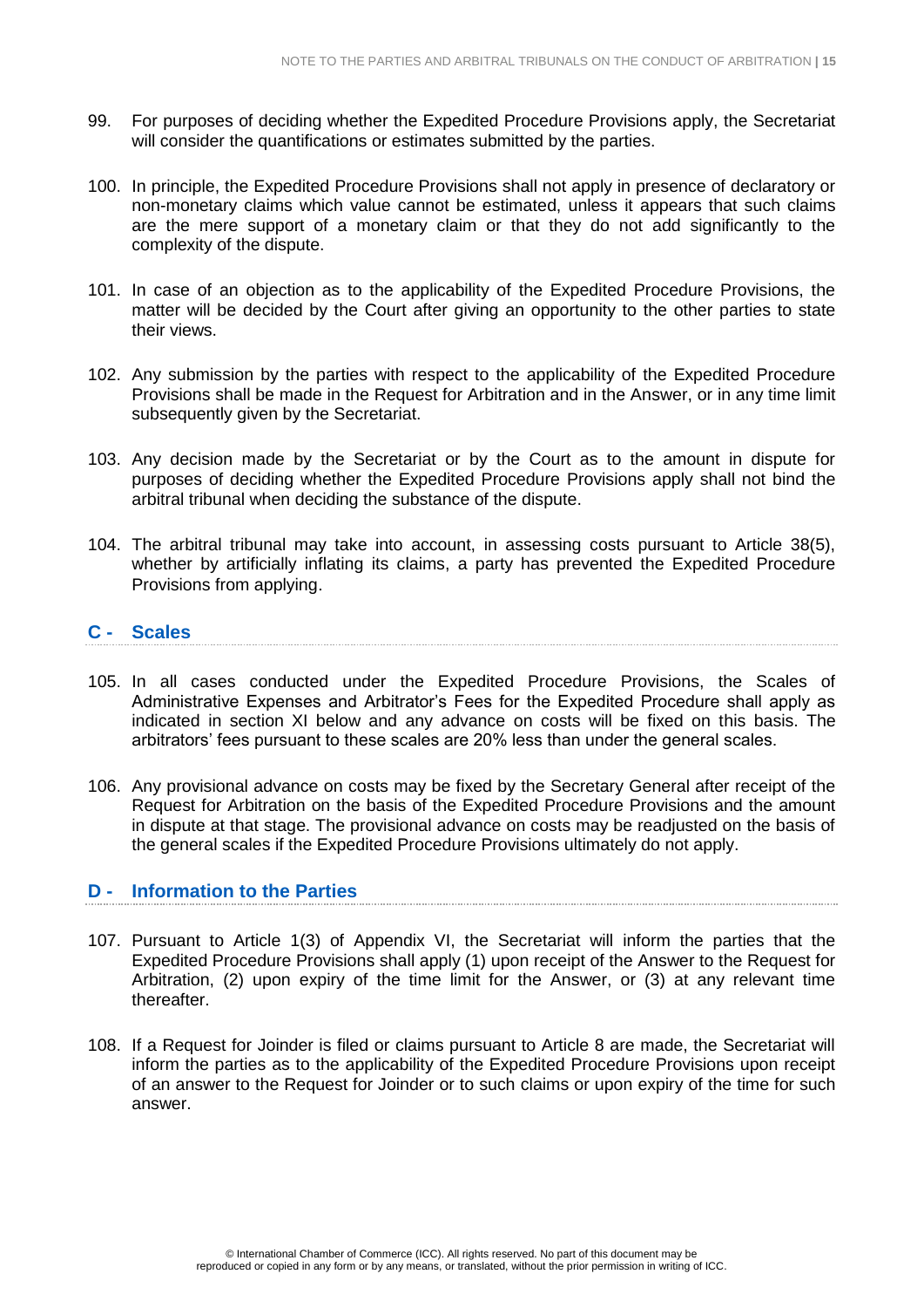- 99. For purposes of deciding whether the Expedited Procedure Provisions apply, the Secretariat will consider the quantifications or estimates submitted by the parties.
- 100. In principle, the Expedited Procedure Provisions shall not apply in presence of declaratory or non-monetary claims which value cannot be estimated, unless it appears that such claims are the mere support of a monetary claim or that they do not add significantly to the complexity of the dispute.
- 101. In case of an objection as to the applicability of the Expedited Procedure Provisions, the matter will be decided by the Court after giving an opportunity to the other parties to state their views.
- 102. Any submission by the parties with respect to the applicability of the Expedited Procedure Provisions shall be made in the Request for Arbitration and in the Answer, or in any time limit subsequently given by the Secretariat.
- 103. Any decision made by the Secretariat or by the Court as to the amount in dispute for purposes of deciding whether the Expedited Procedure Provisions apply shall not bind the arbitral tribunal when deciding the substance of the dispute.
- 104. The arbitral tribunal may take into account, in assessing costs pursuant to Article 38(5), whether by artificially inflating its claims, a party has prevented the Expedited Procedure Provisions from applying.

### <span id="page-14-0"></span>**C - Scales**

- 105. In all cases conducted under the Expedited Procedure Provisions, the Scales of Administrative Expenses and Arbitrator's Fees for the Expedited Procedure shall apply as indicated in section XI below and any advance on costs will be fixed on this basis. The arbitrators' fees pursuant to these scales are 20% less than under the general scales.
- 106. Any provisional advance on costs may be fixed by the Secretary General after receipt of the Request for Arbitration on the basis of the Expedited Procedure Provisions and the amount in dispute at that stage. The provisional advance on costs may be readjusted on the basis of the general scales if the Expedited Procedure Provisions ultimately do not apply.

#### <span id="page-14-1"></span>**D - Information to the Parties**

- 107. Pursuant to Article 1(3) of Appendix VI, the Secretariat will inform the parties that the Expedited Procedure Provisions shall apply (1) upon receipt of the Answer to the Request for Arbitration, (2) upon expiry of the time limit for the Answer, or (3) at any relevant time thereafter.
- 108. If a Request for Joinder is filed or claims pursuant to Article 8 are made, the Secretariat will inform the parties as to the applicability of the Expedited Procedure Provisions upon receipt of an answer to the Request for Joinder or to such claims or upon expiry of the time for such answer.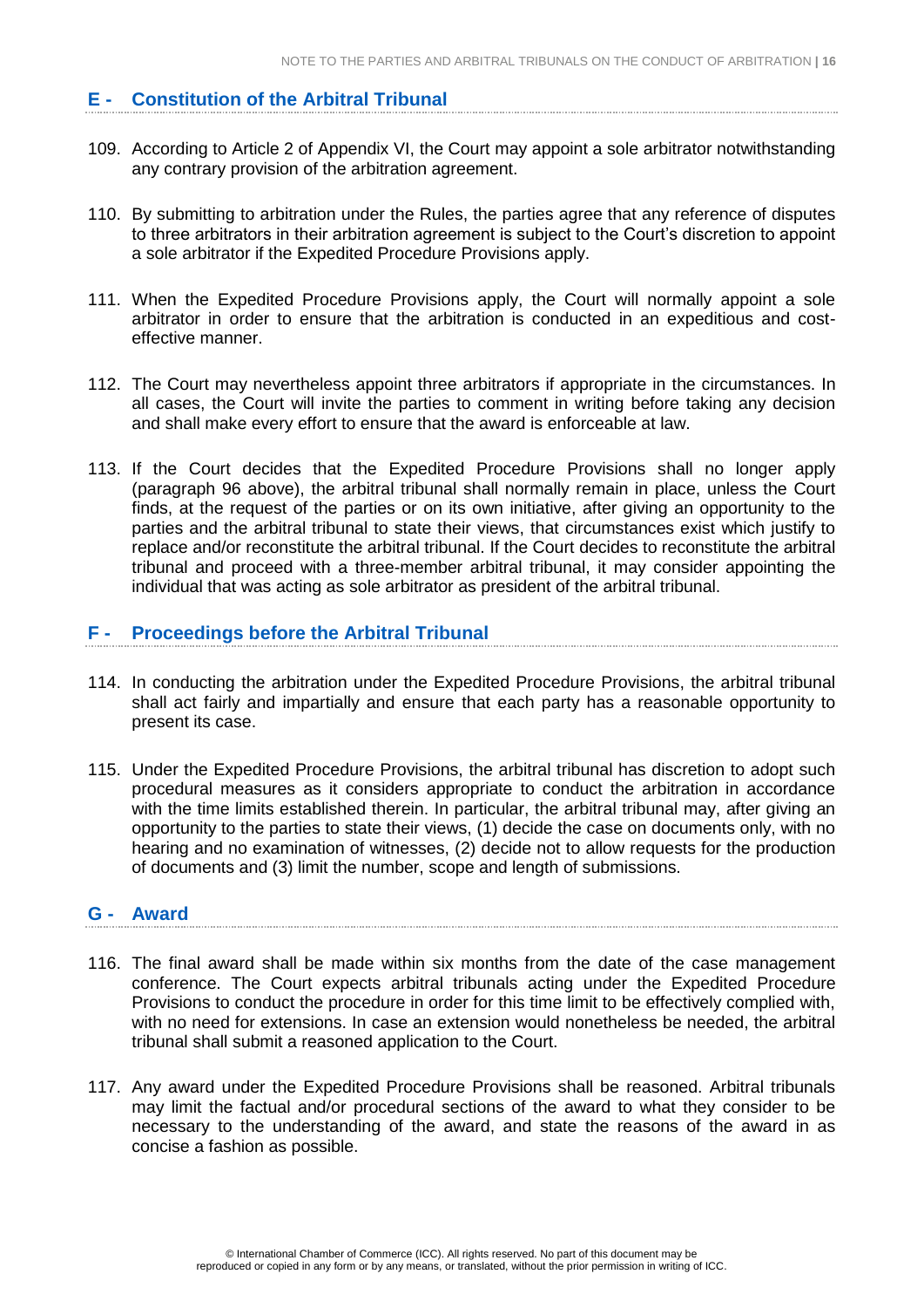### <span id="page-15-0"></span>**E - Constitution of the Arbitral Tribunal**

- 109. According to Article 2 of Appendix VI, the Court may appoint a sole arbitrator notwithstanding any contrary provision of the arbitration agreement.
- 110. By submitting to arbitration under the Rules, the parties agree that any reference of disputes to three arbitrators in their arbitration agreement is subject to the Court's discretion to appoint a sole arbitrator if the Expedited Procedure Provisions apply.
- 111. When the Expedited Procedure Provisions apply, the Court will normally appoint a sole arbitrator in order to ensure that the arbitration is conducted in an expeditious and costeffective manner.
- 112. The Court may nevertheless appoint three arbitrators if appropriate in the circumstances. In all cases, the Court will invite the parties to comment in writing before taking any decision and shall make every effort to ensure that the award is enforceable at law.
- 113. If the Court decides that the Expedited Procedure Provisions shall no longer apply (paragraph 96 above), the arbitral tribunal shall normally remain in place, unless the Court finds, at the request of the parties or on its own initiative, after giving an opportunity to the parties and the arbitral tribunal to state their views, that circumstances exist which justify to replace and/or reconstitute the arbitral tribunal. If the Court decides to reconstitute the arbitral tribunal and proceed with a three-member arbitral tribunal, it may consider appointing the individual that was acting as sole arbitrator as president of the arbitral tribunal.

### <span id="page-15-1"></span>**F - Proceedings before the Arbitral Tribunal**

- 114. In conducting the arbitration under the Expedited Procedure Provisions, the arbitral tribunal shall act fairly and impartially and ensure that each party has a reasonable opportunity to present its case.
- 115. Under the Expedited Procedure Provisions, the arbitral tribunal has discretion to adopt such procedural measures as it considers appropriate to conduct the arbitration in accordance with the time limits established therein. In particular, the arbitral tribunal may, after giving an opportunity to the parties to state their views, (1) decide the case on documents only, with no hearing and no examination of witnesses, (2) decide not to allow requests for the production of documents and (3) limit the number, scope and length of submissions.

#### <span id="page-15-2"></span>**G - Award**

- 116. The final award shall be made within six months from the date of the case management conference. The Court expects arbitral tribunals acting under the Expedited Procedure Provisions to conduct the procedure in order for this time limit to be effectively complied with, with no need for extensions. In case an extension would nonetheless be needed, the arbitral tribunal shall submit a reasoned application to the Court.
- 117. Any award under the Expedited Procedure Provisions shall be reasoned. Arbitral tribunals may limit the factual and/or procedural sections of the award to what they consider to be necessary to the understanding of the award, and state the reasons of the award in as concise a fashion as possible.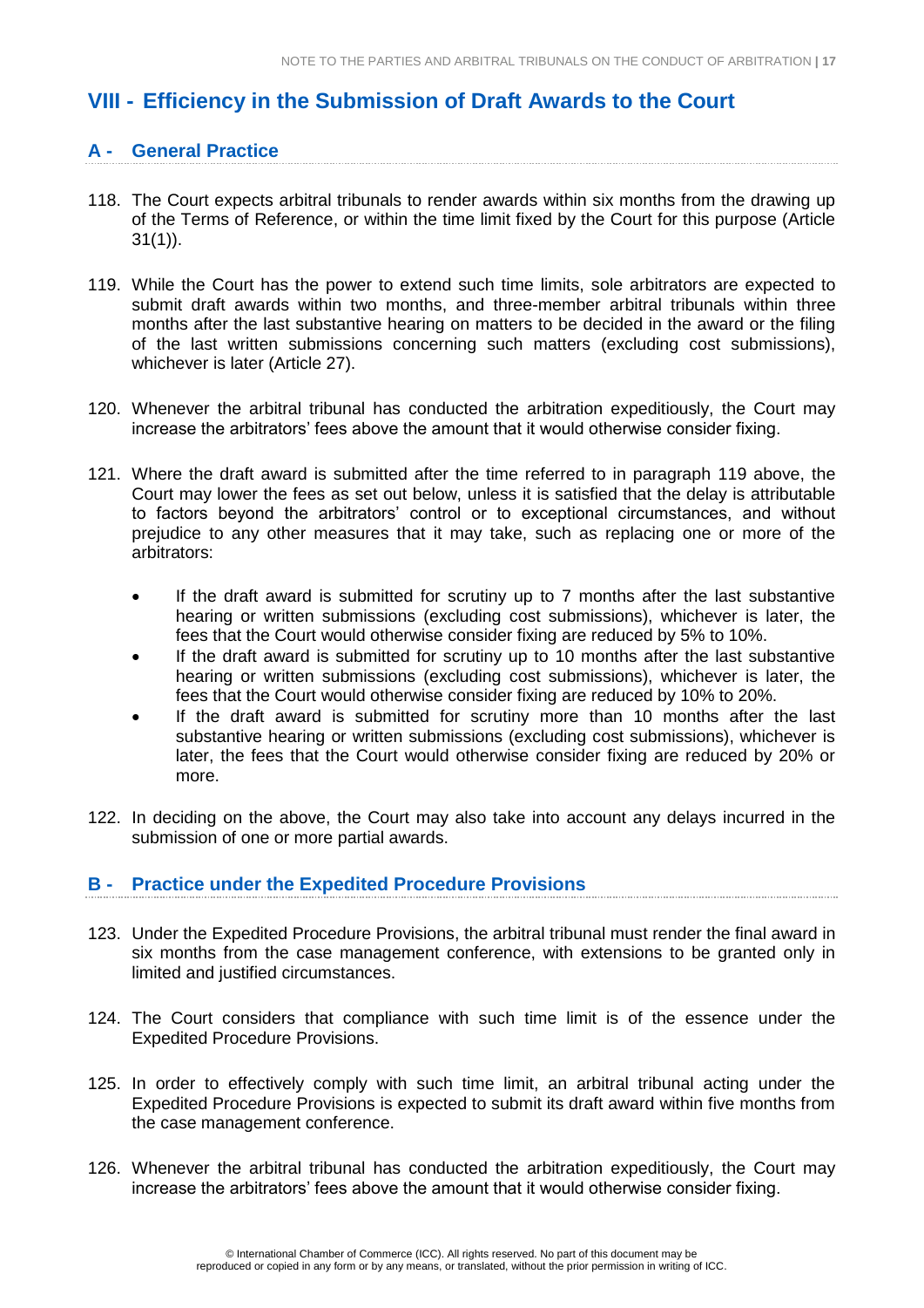# <span id="page-16-0"></span>**VIII - Efficiency in the Submission of Draft Awards to the Court**

### <span id="page-16-1"></span>**A - General Practice**

- 118. The Court expects arbitral tribunals to render awards within six months from the drawing up of the Terms of Reference, or within the time limit fixed by the Court for this purpose (Article  $31(1)$ ).
- 119. While the Court has the power to extend such time limits, sole arbitrators are expected to submit draft awards within two months, and three-member arbitral tribunals within three months after the last substantive hearing on matters to be decided in the award or the filing of the last written submissions concerning such matters (excluding cost submissions), whichever is later (Article 27).
- 120. Whenever the arbitral tribunal has conducted the arbitration expeditiously, the Court may increase the arbitrators' fees above the amount that it would otherwise consider fixing.
- 121. Where the draft award is submitted after the time referred to in paragraph 119 above, the Court may lower the fees as set out below, unless it is satisfied that the delay is attributable to factors beyond the arbitrators' control or to exceptional circumstances, and without prejudice to any other measures that it may take, such as replacing one or more of the arbitrators:
	- If the draft award is submitted for scrutiny up to 7 months after the last substantive hearing or written submissions (excluding cost submissions), whichever is later, the fees that the Court would otherwise consider fixing are reduced by 5% to 10%.
	- If the draft award is submitted for scrutiny up to 10 months after the last substantive hearing or written submissions (excluding cost submissions), whichever is later, the fees that the Court would otherwise consider fixing are reduced by 10% to 20%.
	- If the draft award is submitted for scrutiny more than 10 months after the last substantive hearing or written submissions (excluding cost submissions), whichever is later, the fees that the Court would otherwise consider fixing are reduced by 20% or more.
- 122. In deciding on the above, the Court may also take into account any delays incurred in the submission of one or more partial awards.

#### <span id="page-16-2"></span>**B - Practice under the Expedited Procedure Provisions**

- 123. Under the Expedited Procedure Provisions, the arbitral tribunal must render the final award in six months from the case management conference, with extensions to be granted only in limited and justified circumstances.
- 124. The Court considers that compliance with such time limit is of the essence under the Expedited Procedure Provisions.
- 125. In order to effectively comply with such time limit, an arbitral tribunal acting under the Expedited Procedure Provisions is expected to submit its draft award within five months from the case management conference.
- 126. Whenever the arbitral tribunal has conducted the arbitration expeditiously, the Court may increase the arbitrators' fees above the amount that it would otherwise consider fixing.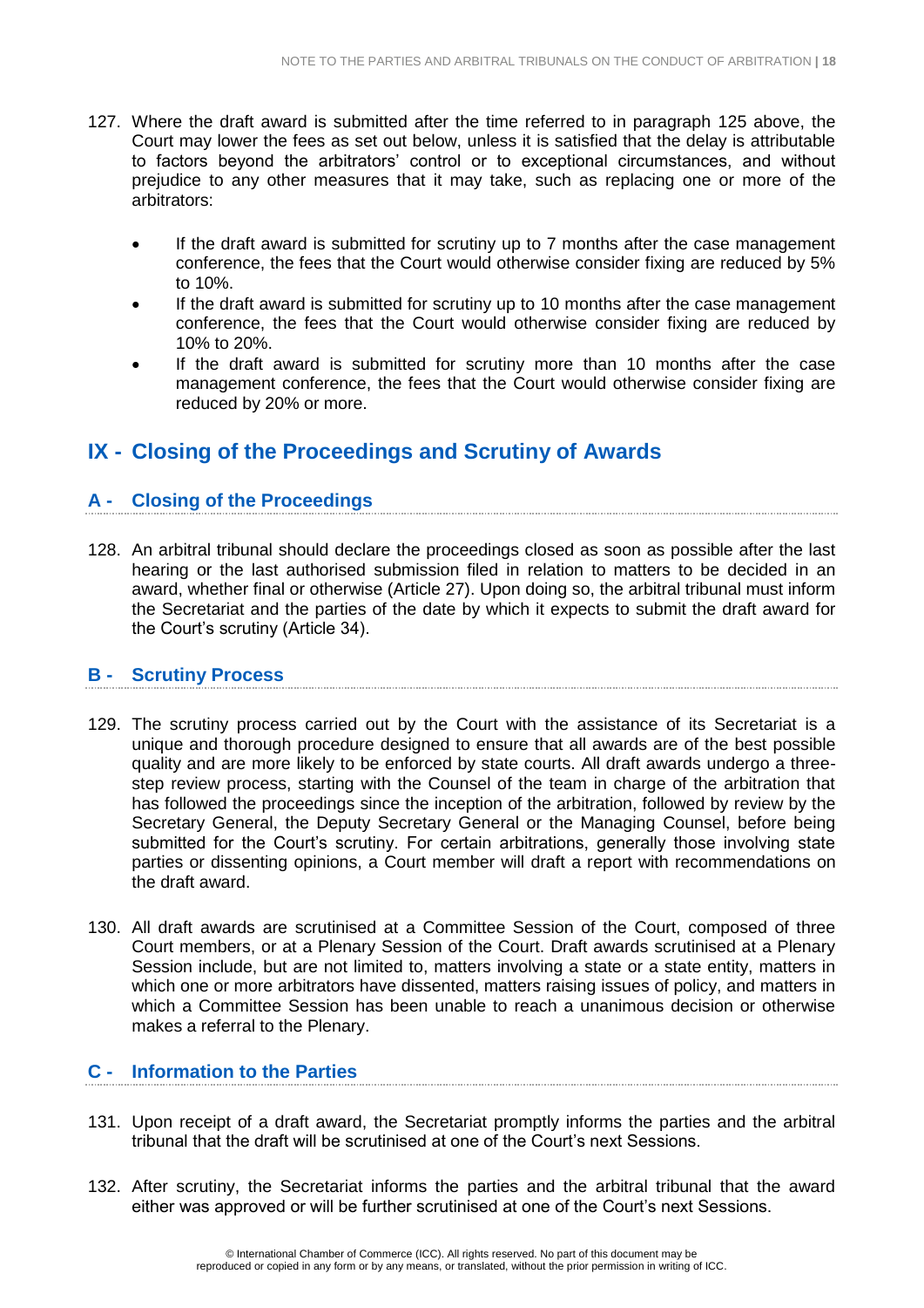- 127. Where the draft award is submitted after the time referred to in paragraph 125 above, the Court may lower the fees as set out below, unless it is satisfied that the delay is attributable to factors beyond the arbitrators' control or to exceptional circumstances, and without prejudice to any other measures that it may take, such as replacing one or more of the arbitrators:
	- If the draft award is submitted for scrutiny up to 7 months after the case management conference, the fees that the Court would otherwise consider fixing are reduced by 5% to 10%.
	- If the draft award is submitted for scrutiny up to 10 months after the case management conference, the fees that the Court would otherwise consider fixing are reduced by 10% to 20%.
	- If the draft award is submitted for scrutiny more than 10 months after the case management conference, the fees that the Court would otherwise consider fixing are reduced by 20% or more.

# <span id="page-17-0"></span>**IX - Closing of the Proceedings and Scrutiny of Awards**

### <span id="page-17-1"></span>**A - Closing of the Proceedings**

128. An arbitral tribunal should declare the proceedings closed as soon as possible after the last hearing or the last authorised submission filed in relation to matters to be decided in an award, whether final or otherwise (Article 27). Upon doing so, the arbitral tribunal must inform the Secretariat and the parties of the date by which it expects to submit the draft award for the Court's scrutiny (Article 34).

#### <span id="page-17-2"></span>**B - Scrutiny Process**

- 129. The scrutiny process carried out by the Court with the assistance of its Secretariat is a unique and thorough procedure designed to ensure that all awards are of the best possible quality and are more likely to be enforced by state courts. All draft awards undergo a threestep review process, starting with the Counsel of the team in charge of the arbitration that has followed the proceedings since the inception of the arbitration, followed by review by the Secretary General, the Deputy Secretary General or the Managing Counsel, before being submitted for the Court's scrutiny. For certain arbitrations, generally those involving state parties or dissenting opinions, a Court member will draft a report with recommendations on the draft award.
- 130. All draft awards are scrutinised at a Committee Session of the Court, composed of three Court members, or at a Plenary Session of the Court. Draft awards scrutinised at a Plenary Session include, but are not limited to, matters involving a state or a state entity, matters in which one or more arbitrators have dissented, matters raising issues of policy, and matters in which a Committee Session has been unable to reach a unanimous decision or otherwise makes a referral to the Plenary.

#### <span id="page-17-3"></span>**C - Information to the Parties**

- 131. Upon receipt of a draft award, the Secretariat promptly informs the parties and the arbitral tribunal that the draft will be scrutinised at one of the Court's next Sessions.
- 132. After scrutiny, the Secretariat informs the parties and the arbitral tribunal that the award either was approved or will be further scrutinised at one of the Court's next Sessions.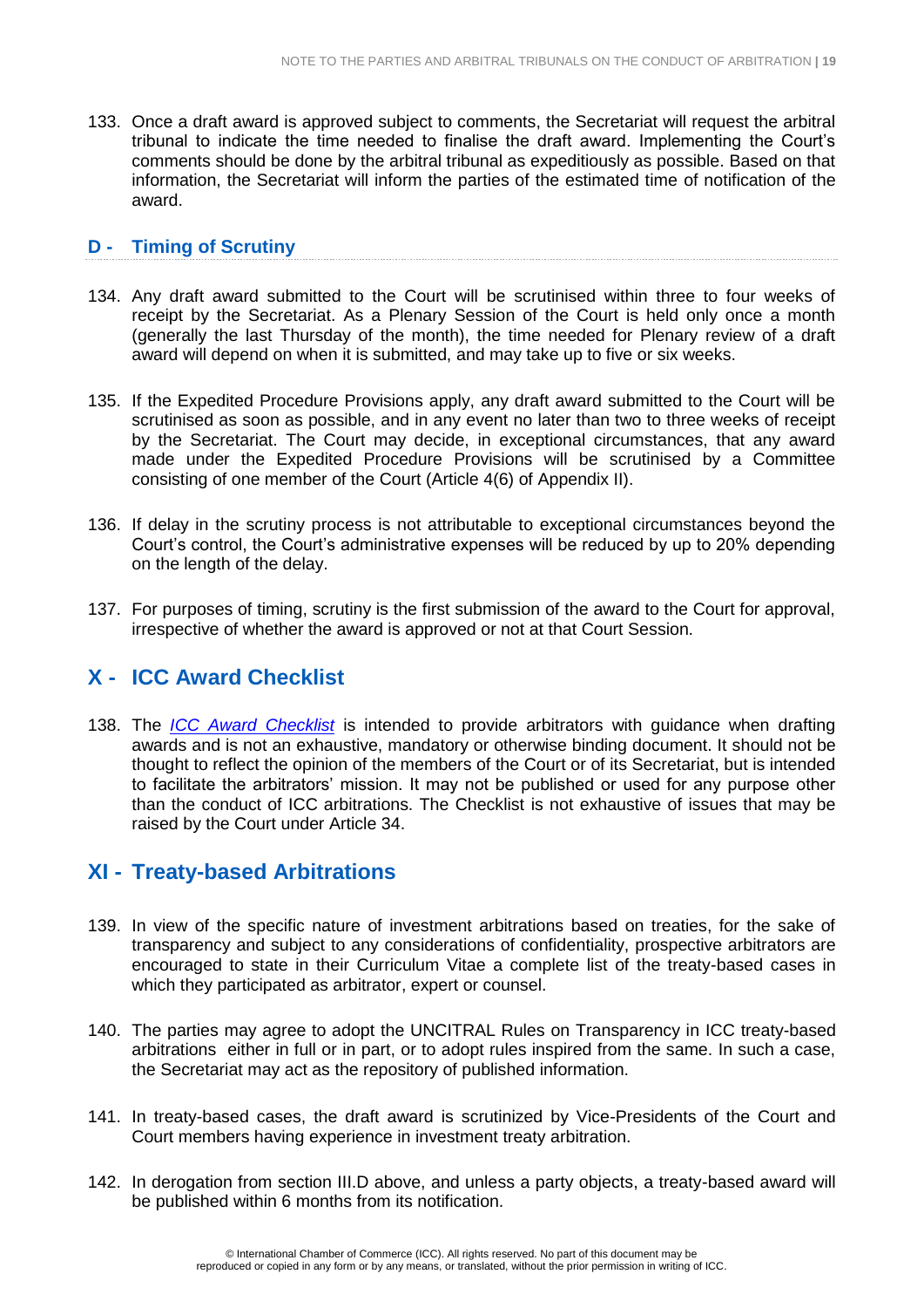133. Once a draft award is approved subject to comments, the Secretariat will request the arbitral tribunal to indicate the time needed to finalise the draft award. Implementing the Court's comments should be done by the arbitral tribunal as expeditiously as possible. Based on that information, the Secretariat will inform the parties of the estimated time of notification of the award.

### <span id="page-18-0"></span>**D - Timing of Scrutiny**

- 134. Any draft award submitted to the Court will be scrutinised within three to four weeks of receipt by the Secretariat. As a Plenary Session of the Court is held only once a month (generally the last Thursday of the month), the time needed for Plenary review of a draft award will depend on when it is submitted, and may take up to five or six weeks.
- 135. If the Expedited Procedure Provisions apply, any draft award submitted to the Court will be scrutinised as soon as possible, and in any event no later than two to three weeks of receipt by the Secretariat. The Court may decide, in exceptional circumstances, that any award made under the Expedited Procedure Provisions will be scrutinised by a Committee consisting of one member of the Court (Article 4(6) of Appendix II).
- 136. If delay in the scrutiny process is not attributable to exceptional circumstances beyond the Court's control, the Court's administrative expenses will be reduced by up to 20% depending on the length of the delay.
- 137. For purposes of timing, scrutiny is the first submission of the award to the Court for approval, irrespective of whether the award is approved or not at that Court Session.

# <span id="page-18-1"></span>**X - ICC Award Checklist**

138. The *[ICC Award Checklist](https://iccwbo.org/dispute-resolution-services/arbitration/practice-notes-forms-checklists/#award_checklist)* is intended to provide arbitrators with guidance when drafting awards and is not an exhaustive, mandatory or otherwise binding document. It should not be thought to reflect the opinion of the members of the Court or of its Secretariat, but is intended to facilitate the arbitrators' mission. It may not be published or used for any purpose other than the conduct of ICC arbitrations. The Checklist is not exhaustive of issues that may be raised by the Court under Article 34.

# <span id="page-18-2"></span>**XI - Treaty-based Arbitrations**

- 139. In view of the specific nature of investment arbitrations based on treaties, for the sake of transparency and subject to any considerations of confidentiality, prospective arbitrators are encouraged to state in their Curriculum Vitae a complete list of the treaty-based cases in which they participated as arbitrator, expert or counsel.
- 140. The parties may agree to adopt the UNCITRAL Rules on Transparency in ICC treaty-based arbitrations either in full or in part, or to adopt rules inspired from the same. In such a case, the Secretariat may act as the repository of published information.
- 141. In treaty-based cases, the draft award is scrutinized by Vice-Presidents of the Court and Court members having experience in investment treaty arbitration.
- 142. In derogation from section III.D above, and unless a party objects, a treaty-based award will be published within 6 months from its notification.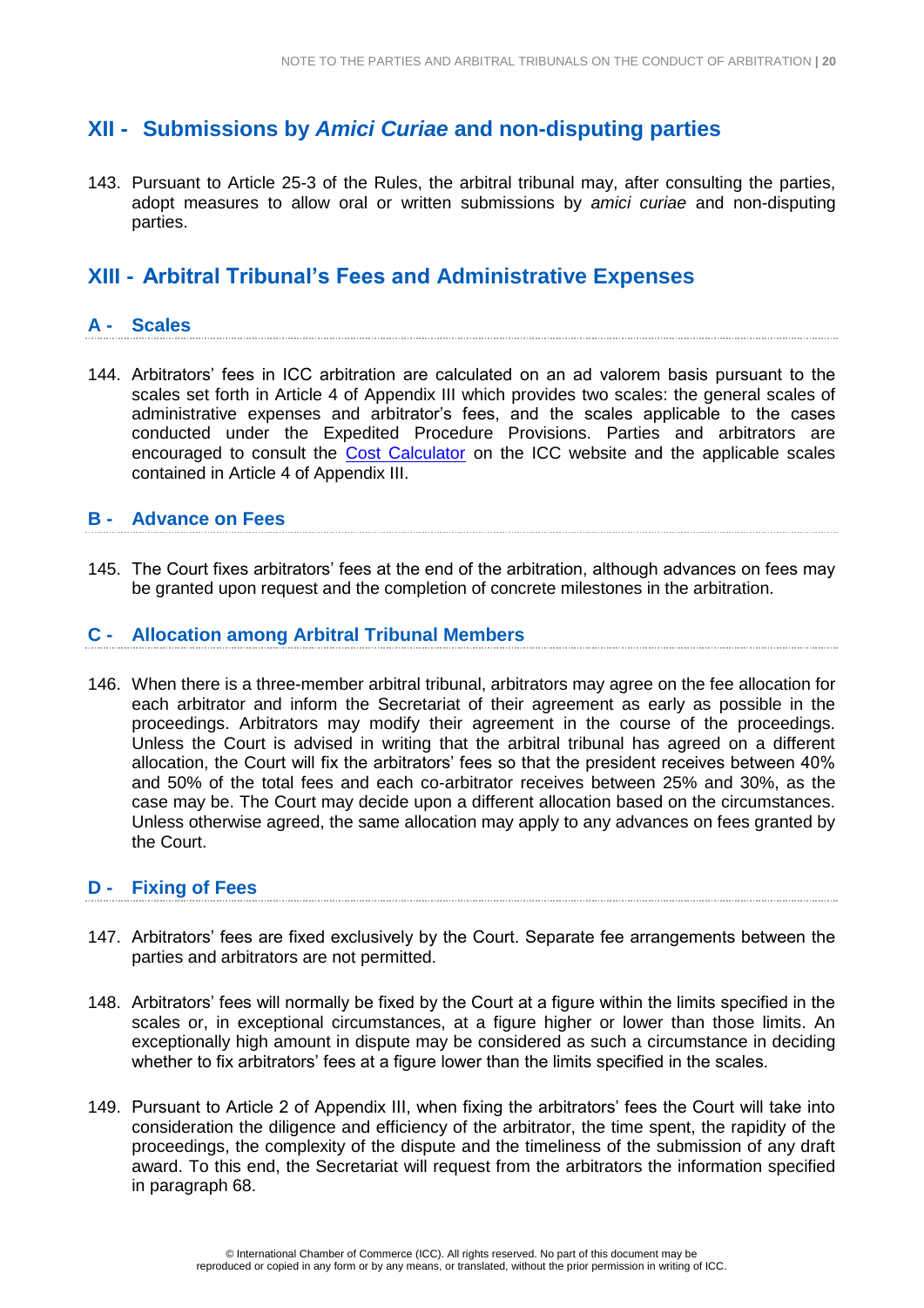# <span id="page-19-0"></span>**XII - Submissions by** *Amici Curiae* **and non-disputing parties**

143. Pursuant to Article 25-3 of the Rules, the arbitral tribunal may, after consulting the parties, adopt measures to allow oral or written submissions by *amici curiae* and non-disputing parties.

# <span id="page-19-1"></span>**XIII - Arbitral Tribunal's Fees and Administrative Expenses**

### <span id="page-19-2"></span>**A - Scales**

144. Arbitrators' fees in ICC arbitration are calculated on an ad valorem basis pursuant to the scales set forth in Article 4 of Appendix III which provides two scales: the general scales of administrative expenses and arbitrator's fees, and the scales applicable to the cases conducted under the Expedited Procedure Provisions. Parties and arbitrators are encouraged to consult the [Cost Calculator](http://www.iccwbo.org/products-and-services/arbitration-and-adr/arbitration/cost-and-payment/cost-calculator/) on the ICC website and the applicable scales contained in Article 4 of Appendix III.

### <span id="page-19-3"></span>**B - Advance on Fees**

145. The Court fixes arbitrators' fees at the end of the arbitration, although advances on fees may be granted upon request and the completion of concrete milestones in the arbitration.

### <span id="page-19-4"></span>**C - Allocation among Arbitral Tribunal Members**

146. When there is a three-member arbitral tribunal, arbitrators may agree on the fee allocation for each arbitrator and inform the Secretariat of their agreement as early as possible in the proceedings. Arbitrators may modify their agreement in the course of the proceedings. Unless the Court is advised in writing that the arbitral tribunal has agreed on a different allocation, the Court will fix the arbitrators' fees so that the president receives between 40% and 50% of the total fees and each co-arbitrator receives between 25% and 30%, as the case may be. The Court may decide upon a different allocation based on the circumstances. Unless otherwise agreed, the same allocation may apply to any advances on fees granted by the Court.

#### <span id="page-19-5"></span>**D - Fixing of Fees**

- 147. Arbitrators' fees are fixed exclusively by the Court. Separate fee arrangements between the parties and arbitrators are not permitted.
- 148. Arbitrators' fees will normally be fixed by the Court at a figure within the limits specified in the scales or, in exceptional circumstances, at a figure higher or lower than those limits. An exceptionally high amount in dispute may be considered as such a circumstance in deciding whether to fix arbitrators' fees at a figure lower than the limits specified in the scales.
- 149. Pursuant to Article 2 of Appendix III, when fixing the arbitrators' fees the Court will take into consideration the diligence and efficiency of the arbitrator, the time spent, the rapidity of the proceedings, the complexity of the dispute and the timeliness of the submission of any draft award. To this end, the Secretariat will request from the arbitrators the information specified in paragraph 68.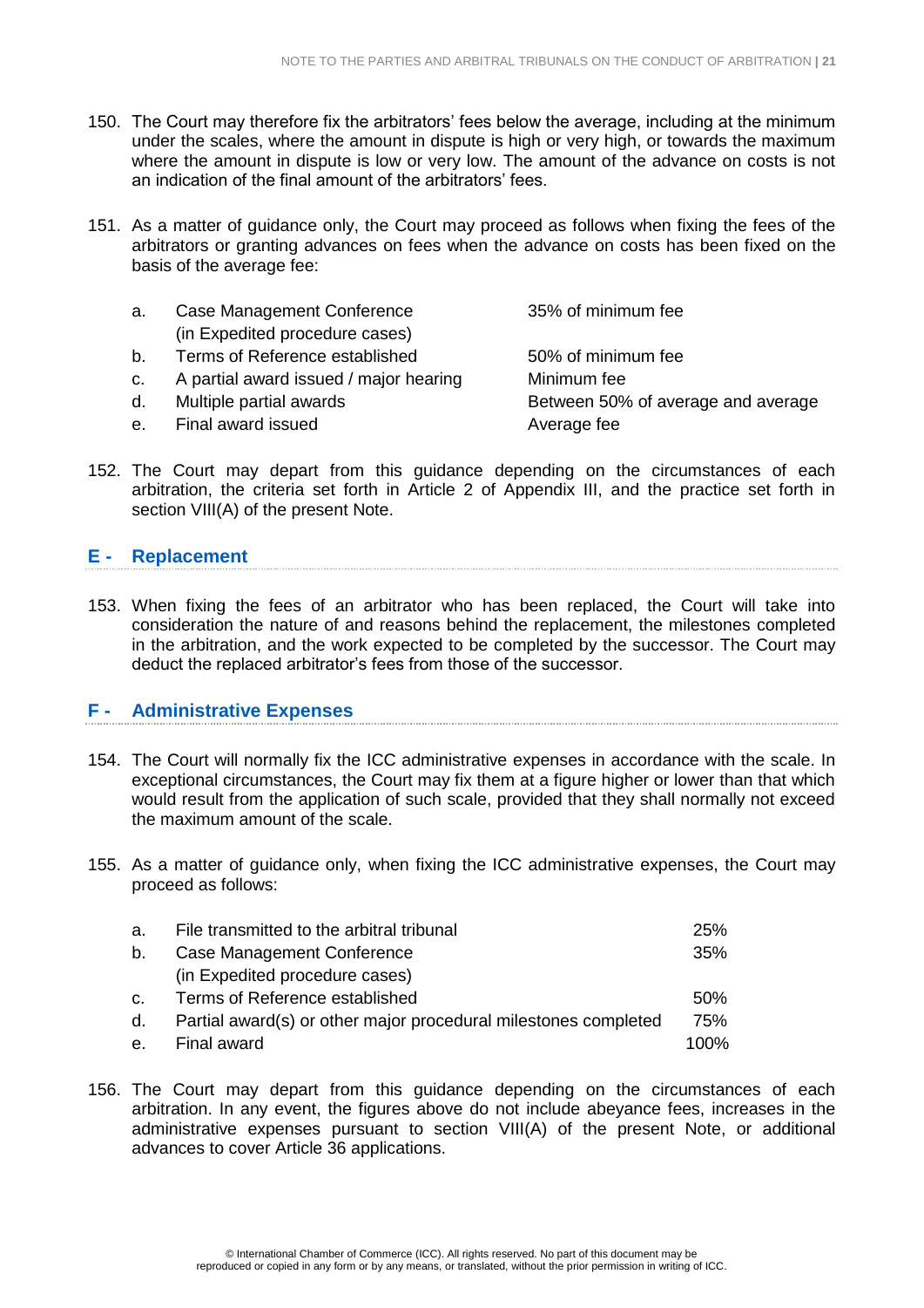- 150. The Court may therefore fix the arbitrators' fees below the average, including at the minimum under the scales, where the amount in dispute is high or very high, or towards the maximum where the amount in dispute is low or very low. The amount of the advance on costs is not an indication of the final amount of the arbitrators' fees.
- 151. As a matter of guidance only, the Court may proceed as follows when fixing the fees of the arbitrators or granting advances on fees when the advance on costs has been fixed on the basis of the average fee:

| Case Management Conference     | 35% of minimum fee |
|--------------------------------|--------------------|
| (in Expedited procedure cases) |                    |
|                                |                    |

- b. Terms of Reference established 50% of minimum fee
- c. A partial award issued / major hearing Minimum fee
- 
- e. Final award issued **Average fee**

d. Multiple partial awards **Between 50% of average and average** and average

152. The Court may depart from this guidance depending on the circumstances of each arbitration, the criteria set forth in Article 2 of Appendix III, and the practice set forth in section VIII(A) of the present Note.

### <span id="page-20-0"></span>**E - Replacement**

153. When fixing the fees of an arbitrator who has been replaced, the Court will take into consideration the nature of and reasons behind the replacement, the milestones completed in the arbitration, and the work expected to be completed by the successor. The Court may deduct the replaced arbitrator's fees from those of the successor.

#### <span id="page-20-1"></span>**F - Administrative Expenses**

- 154. The Court will normally fix the ICC administrative expenses in accordance with the scale. In exceptional circumstances, the Court may fix them at a figure higher or lower than that which would result from the application of such scale, provided that they shall normally not exceed the maximum amount of the scale.
- 155. As a matter of guidance only, when fixing the ICC administrative expenses, the Court may proceed as follows:

| File transmitted to the arbitral tribunal                       | 25%  |
|-----------------------------------------------------------------|------|
| Case Management Conference                                      | 35%  |
| (in Expedited procedure cases)                                  |      |
| Terms of Reference established                                  | 50%  |
| Partial award(s) or other major procedural milestones completed | 75%  |
| Final award                                                     | 100% |
|                                                                 |      |

156. The Court may depart from this guidance depending on the circumstances of each arbitration. In any event, the figures above do not include abeyance fees, increases in the administrative expenses pursuant to section VIII(A) of the present Note, or additional advances to cover Article 36 applications.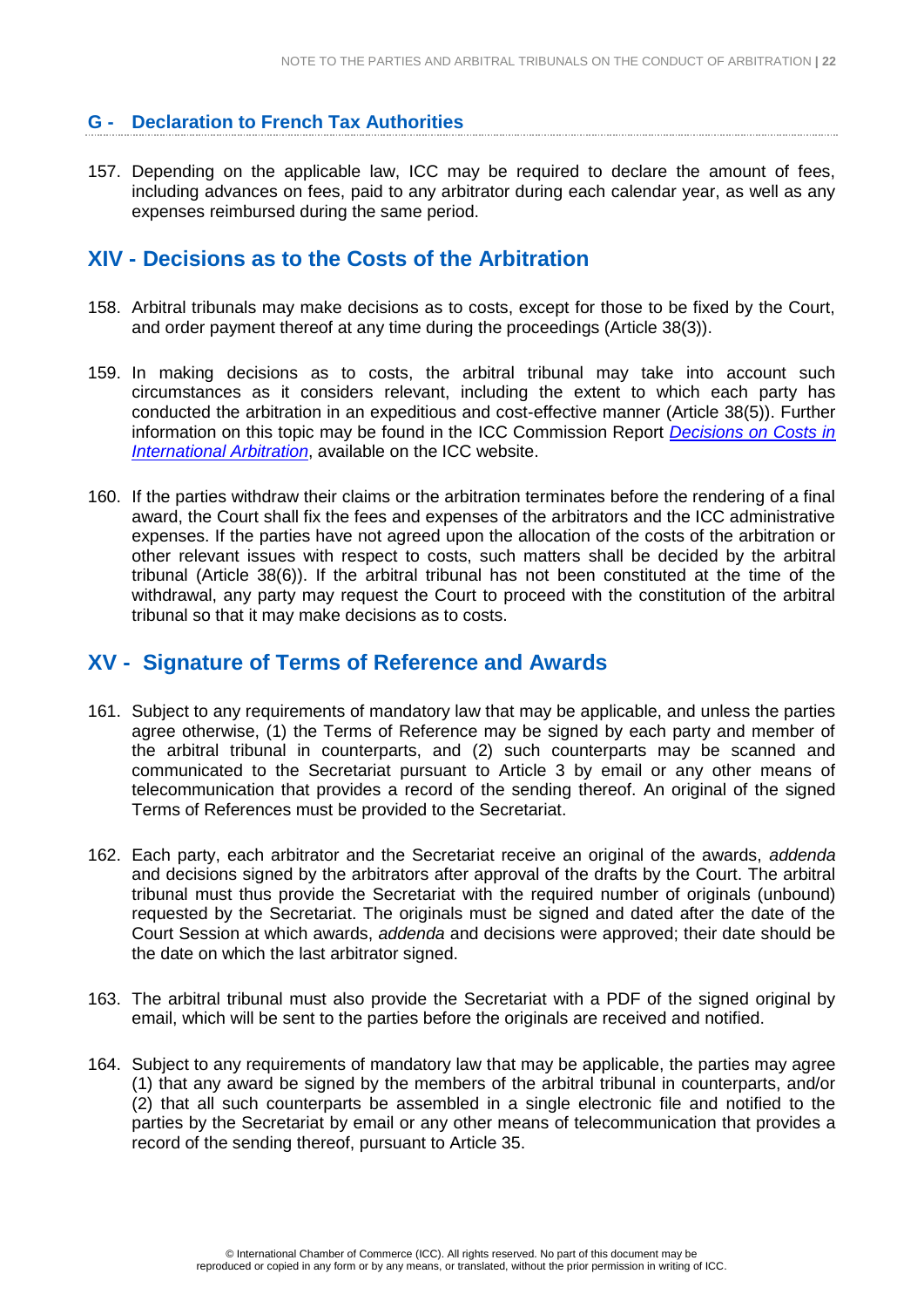### <span id="page-21-0"></span>**G - Declaration to French Tax Authorities**

157. Depending on the applicable law, ICC may be required to declare the amount of fees, including advances on fees, paid to any arbitrator during each calendar year, as well as any expenses reimbursed during the same period.

# <span id="page-21-1"></span>**XIV - Decisions as to the Costs of the Arbitration**

- 158. Arbitral tribunals may make decisions as to costs, except for those to be fixed by the Court, and order payment thereof at any time during the proceedings (Article 38(3)).
- 159. In making decisions as to costs, the arbitral tribunal may take into account such circumstances as it considers relevant, including the extent to which each party has conducted the arbitration in an expeditious and cost-effective manner (Article 38(5)). Further information on this topic may be found in the ICC Commission Report *[Decisions on Costs in](http://www.iccwbo.org/Advocacy-Codes-and-Rules/Document-centre/2015/Decisions-on-Costs-in-International-Arbitration---ICC-Arbitration-and-ADR-Commission-Report/)  [International Arbitration](http://www.iccwbo.org/Advocacy-Codes-and-Rules/Document-centre/2015/Decisions-on-Costs-in-International-Arbitration---ICC-Arbitration-and-ADR-Commission-Report/)*, available on the ICC website.
- 160. If the parties withdraw their claims or the arbitration terminates before the rendering of a final award, the Court shall fix the fees and expenses of the arbitrators and the ICC administrative expenses. If the parties have not agreed upon the allocation of the costs of the arbitration or other relevant issues with respect to costs, such matters shall be decided by the arbitral tribunal (Article 38(6)). If the arbitral tribunal has not been constituted at the time of the withdrawal, any party may request the Court to proceed with the constitution of the arbitral tribunal so that it may make decisions as to costs.

# <span id="page-21-2"></span>**XV - Signature of Terms of Reference and Awards**

- 161. Subject to any requirements of mandatory law that may be applicable, and unless the parties agree otherwise, (1) the Terms of Reference may be signed by each party and member of the arbitral tribunal in counterparts, and (2) such counterparts may be scanned and communicated to the Secretariat pursuant to Article 3 by email or any other means of telecommunication that provides a record of the sending thereof. An original of the signed Terms of References must be provided to the Secretariat.
- 162. Each party, each arbitrator and the Secretariat receive an original of the awards, *addenda* and decisions signed by the arbitrators after approval of the drafts by the Court. The arbitral tribunal must thus provide the Secretariat with the required number of originals (unbound) requested by the Secretariat. The originals must be signed and dated after the date of the Court Session at which awards, *addenda* and decisions were approved; their date should be the date on which the last arbitrator signed.
- 163. The arbitral tribunal must also provide the Secretariat with a PDF of the signed original by email, which will be sent to the parties before the originals are received and notified.
- 164. Subject to any requirements of mandatory law that may be applicable, the parties may agree (1) that any award be signed by the members of the arbitral tribunal in counterparts, and/or (2) that all such counterparts be assembled in a single electronic file and notified to the parties by the Secretariat by email or any other means of telecommunication that provides a record of the sending thereof, pursuant to Article 35.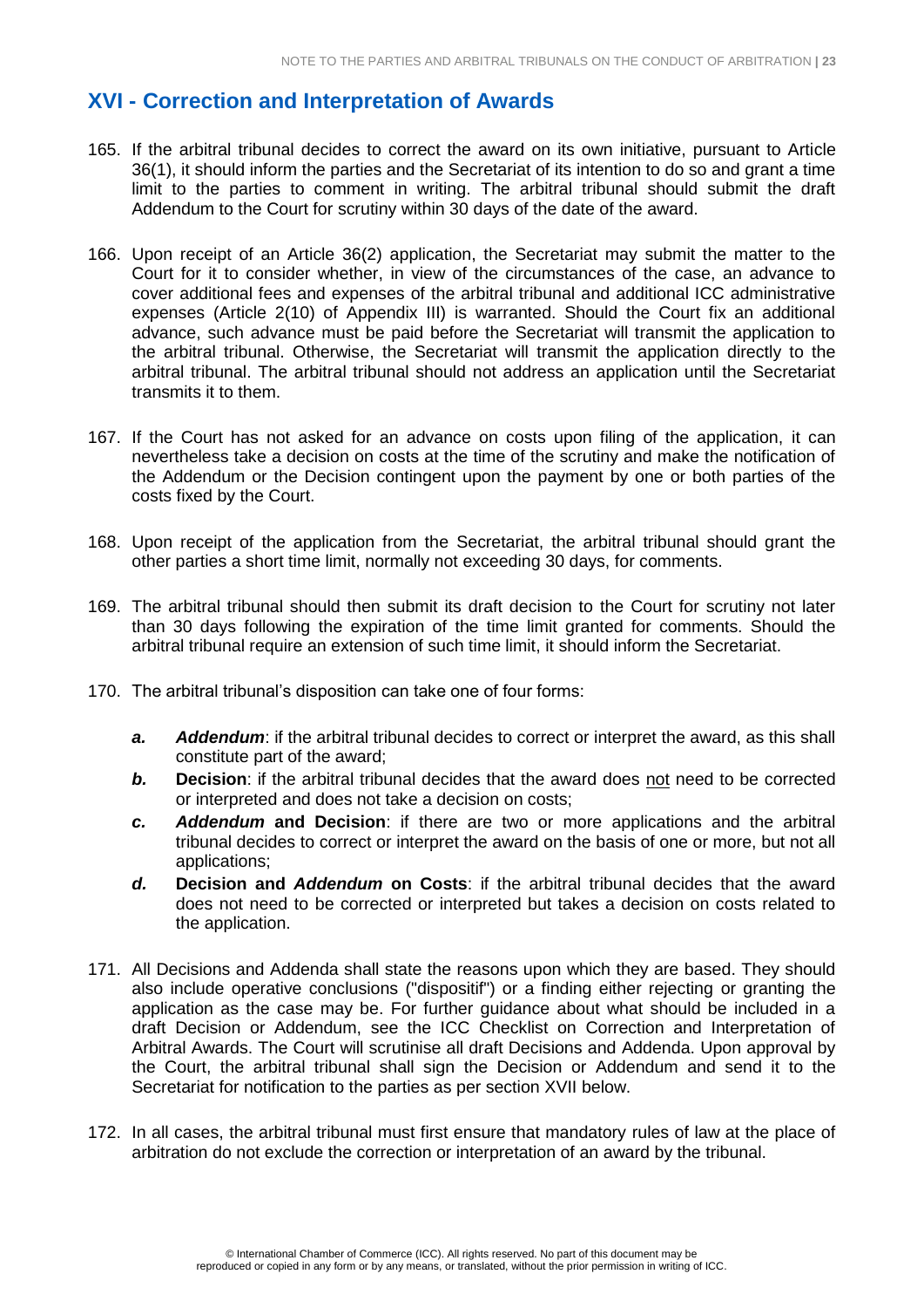# <span id="page-22-0"></span>**XVI - Correction and Interpretation of Awards**

- 165. If the arbitral tribunal decides to correct the award on its own initiative, pursuant to Article 36(1), it should inform the parties and the Secretariat of its intention to do so and grant a time limit to the parties to comment in writing. The arbitral tribunal should submit the draft Addendum to the Court for scrutiny within 30 days of the date of the award.
- 166. Upon receipt of an Article 36(2) application, the Secretariat may submit the matter to the Court for it to consider whether, in view of the circumstances of the case, an advance to cover additional fees and expenses of the arbitral tribunal and additional ICC administrative expenses (Article 2(10) of Appendix III) is warranted. Should the Court fix an additional advance, such advance must be paid before the Secretariat will transmit the application to the arbitral tribunal. Otherwise, the Secretariat will transmit the application directly to the arbitral tribunal. The arbitral tribunal should not address an application until the Secretariat transmits it to them.
- 167. If the Court has not asked for an advance on costs upon filing of the application, it can nevertheless take a decision on costs at the time of the scrutiny and make the notification of the Addendum or the Decision contingent upon the payment by one or both parties of the costs fixed by the Court.
- 168. Upon receipt of the application from the Secretariat, the arbitral tribunal should grant the other parties a short time limit, normally not exceeding 30 days, for comments.
- 169. The arbitral tribunal should then submit its draft decision to the Court for scrutiny not later than 30 days following the expiration of the time limit granted for comments. Should the arbitral tribunal require an extension of such time limit, it should inform the Secretariat.
- 170. The arbitral tribunal's disposition can take one of four forms:
	- *a. Addendum*: if the arbitral tribunal decides to correct or interpret the award, as this shall constitute part of the award;
	- *b.* **Decision**: if the arbitral tribunal decides that the award does not need to be corrected or interpreted and does not take a decision on costs;
	- *c. Addendum* **and Decision**: if there are two or more applications and the arbitral tribunal decides to correct or interpret the award on the basis of one or more, but not all applications;
	- *d.* **Decision and** *Addendum* **on Costs**: if the arbitral tribunal decides that the award does not need to be corrected or interpreted but takes a decision on costs related to the application.
- 171. All Decisions and Addenda shall state the reasons upon which they are based. They should also include operative conclusions ("dispositif") or a finding either rejecting or granting the application as the case may be. For further guidance about what should be included in a draft Decision or Addendum, see the ICC Checklist on Correction and Interpretation of Arbitral Awards. The Court will scrutinise all draft Decisions and Addenda. Upon approval by the Court, the arbitral tribunal shall sign the Decision or Addendum and send it to the Secretariat for notification to the parties as per section XVII below.
- 172. In all cases, the arbitral tribunal must first ensure that mandatory rules of law at the place of arbitration do not exclude the correction or interpretation of an award by the tribunal.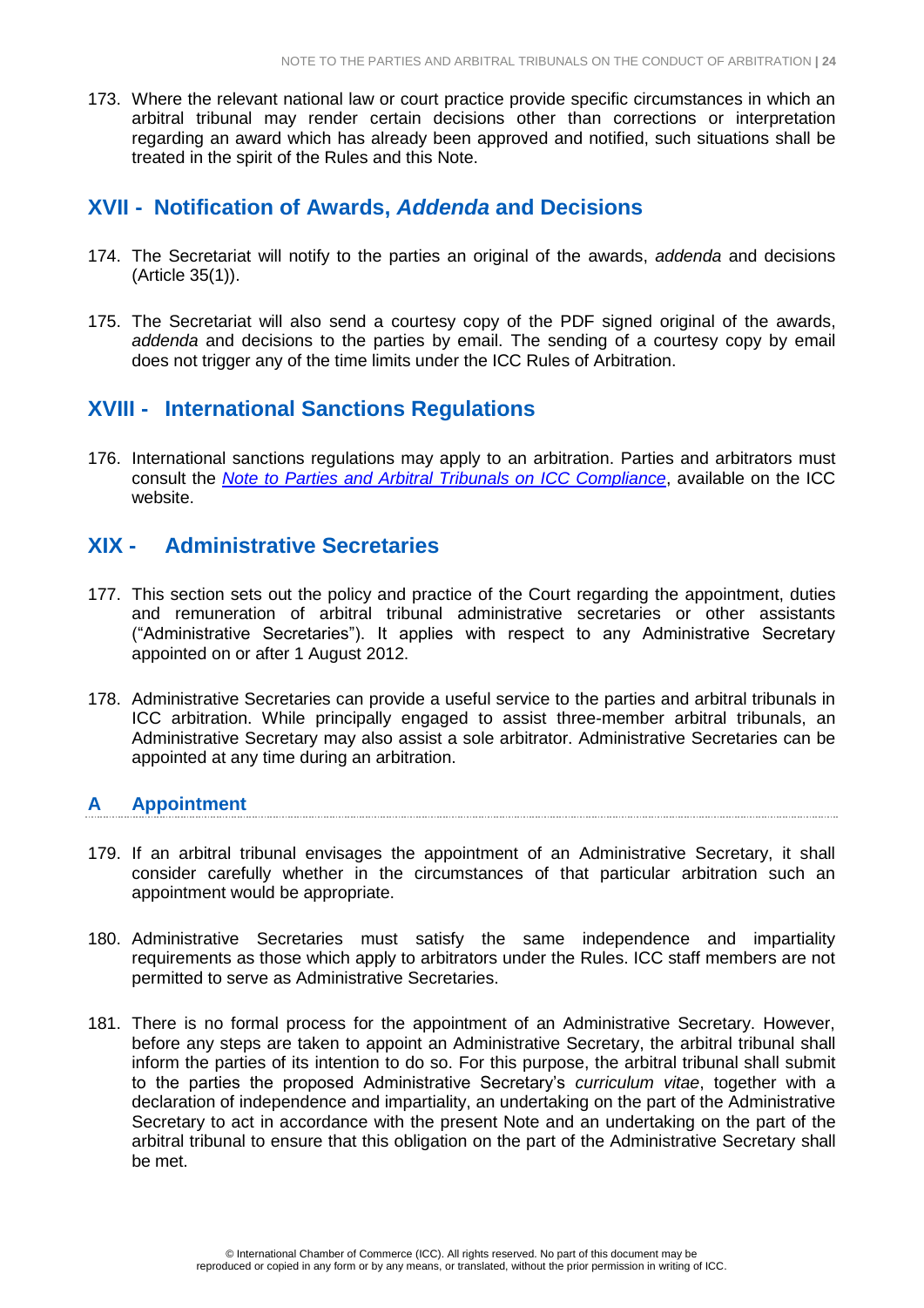173. Where the relevant national law or court practice provide specific circumstances in which an arbitral tribunal may render certain decisions other than corrections or interpretation regarding an award which has already been approved and notified, such situations shall be treated in the spirit of the Rules and this Note.

## <span id="page-23-0"></span>**XVII - Notification of Awards,** *Addenda* **and Decisions**

- 174. The Secretariat will notify to the parties an original of the awards, *addenda* and decisions (Article 35(1)).
- 175. The Secretariat will also send a courtesy copy of the PDF signed original of the awards, *addenda* and decisions to the parties by email. The sending of a courtesy copy by email does not trigger any of the time limits under the ICC Rules of Arbitration.

# <span id="page-23-1"></span>**XVIII - International Sanctions Regulations**

176. International sanctions regulations may apply to an arbitration. Parties and arbitrators must consult the *[Note to Parties and Arbitral Tribunals on ICC Compliance](https://iccwbo.org/publication/note-parties-arbitral-tribunals-icc-compliance)*, available on the ICC website.

# <span id="page-23-2"></span>**XIX - Administrative Secretaries**

- 177. This section sets out the policy and practice of the Court regarding the appointment, duties and remuneration of arbitral tribunal administrative secretaries or other assistants ("Administrative Secretaries"). It applies with respect to any Administrative Secretary appointed on or after 1 August 2012.
- 178. Administrative Secretaries can provide a useful service to the parties and arbitral tribunals in ICC arbitration. While principally engaged to assist three-member arbitral tribunals, an Administrative Secretary may also assist a sole arbitrator. Administrative Secretaries can be appointed at any time during an arbitration.

#### <span id="page-23-3"></span>**A Appointment**

- 179. If an arbitral tribunal envisages the appointment of an Administrative Secretary, it shall consider carefully whether in the circumstances of that particular arbitration such an appointment would be appropriate.
- 180. Administrative Secretaries must satisfy the same independence and impartiality requirements as those which apply to arbitrators under the Rules. ICC staff members are not permitted to serve as Administrative Secretaries.
- 181. There is no formal process for the appointment of an Administrative Secretary. However, before any steps are taken to appoint an Administrative Secretary, the arbitral tribunal shall inform the parties of its intention to do so. For this purpose, the arbitral tribunal shall submit to the parties the proposed Administrative Secretary's *curriculum vitae*, together with a declaration of independence and impartiality, an undertaking on the part of the Administrative Secretary to act in accordance with the present Note and an undertaking on the part of the arbitral tribunal to ensure that this obligation on the part of the Administrative Secretary shall be met.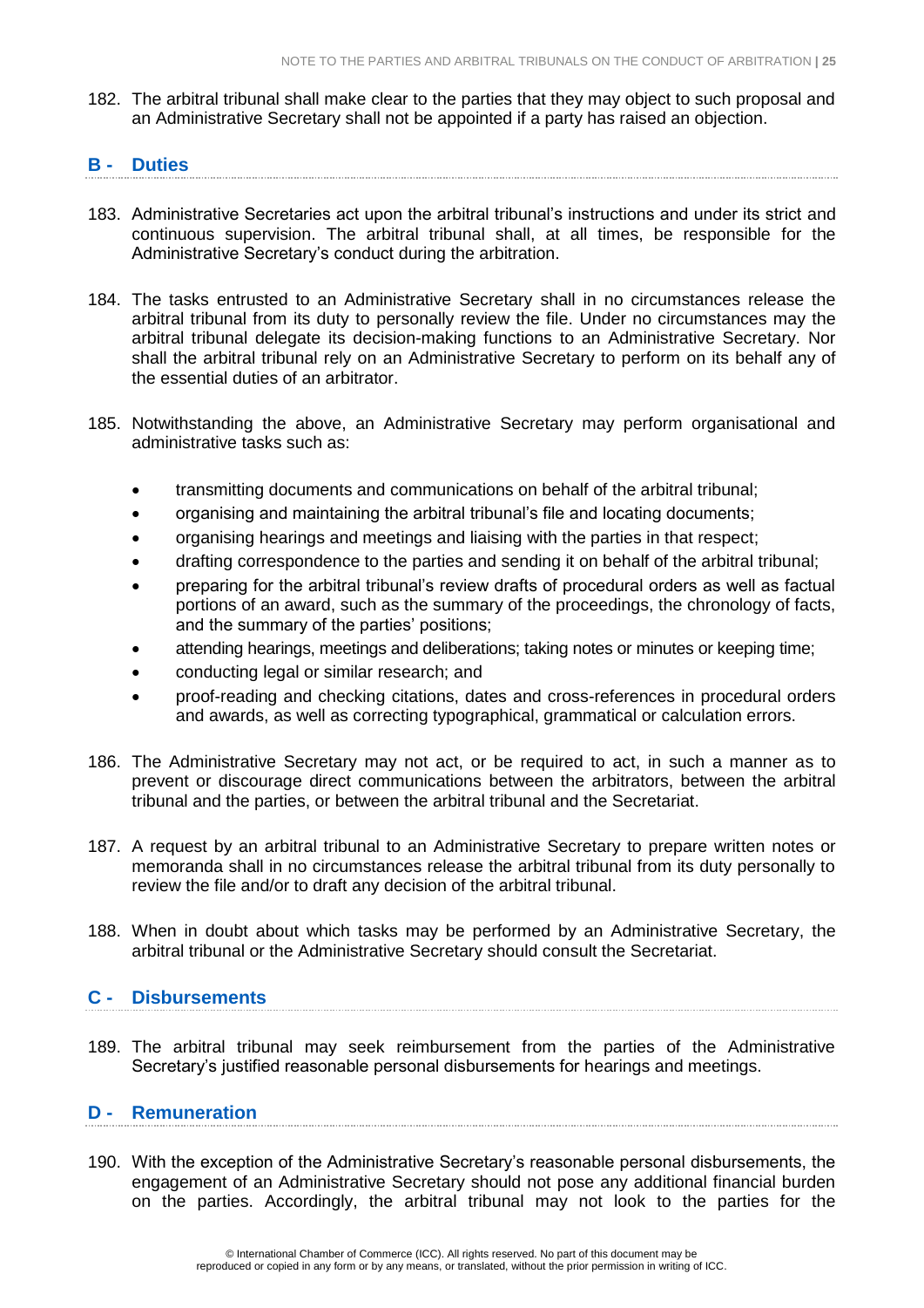182. The arbitral tribunal shall make clear to the parties that they may object to such proposal and an Administrative Secretary shall not be appointed if a party has raised an objection.

### <span id="page-24-0"></span>**B - Duties**

- 183. Administrative Secretaries act upon the arbitral tribunal's instructions and under its strict and continuous supervision. The arbitral tribunal shall, at all times, be responsible for the Administrative Secretary's conduct during the arbitration.
- 184. The tasks entrusted to an Administrative Secretary shall in no circumstances release the arbitral tribunal from its duty to personally review the file. Under no circumstances may the arbitral tribunal delegate its decision-making functions to an Administrative Secretary. Nor shall the arbitral tribunal rely on an Administrative Secretary to perform on its behalf any of the essential duties of an arbitrator.
- 185. Notwithstanding the above, an Administrative Secretary may perform organisational and administrative tasks such as:
	- transmitting documents and communications on behalf of the arbitral tribunal;
	- organising and maintaining the arbitral tribunal's file and locating documents;
	- organising hearings and meetings and liaising with the parties in that respect;
	- drafting correspondence to the parties and sending it on behalf of the arbitral tribunal;
	- preparing for the arbitral tribunal's review drafts of procedural orders as well as factual portions of an award, such as the summary of the proceedings, the chronology of facts, and the summary of the parties' positions;
	- attending hearings, meetings and deliberations; taking notes or minutes or keeping time;
	- conducting legal or similar research; and
	- proof-reading and checking citations, dates and cross-references in procedural orders and awards, as well as correcting typographical, grammatical or calculation errors.
- 186. The Administrative Secretary may not act, or be required to act, in such a manner as to prevent or discourage direct communications between the arbitrators, between the arbitral tribunal and the parties, or between the arbitral tribunal and the Secretariat.
- 187. A request by an arbitral tribunal to an Administrative Secretary to prepare written notes or memoranda shall in no circumstances release the arbitral tribunal from its duty personally to review the file and/or to draft any decision of the arbitral tribunal.
- 188. When in doubt about which tasks may be performed by an Administrative Secretary, the arbitral tribunal or the Administrative Secretary should consult the Secretariat.

### <span id="page-24-1"></span>**C - Disbursements**

189. The arbitral tribunal may seek reimbursement from the parties of the Administrative Secretary's justified reasonable personal disbursements for hearings and meetings.

#### <span id="page-24-2"></span>**D - Remuneration**

190. With the exception of the Administrative Secretary's reasonable personal disbursements, the engagement of an Administrative Secretary should not pose any additional financial burden on the parties. Accordingly, the arbitral tribunal may not look to the parties for the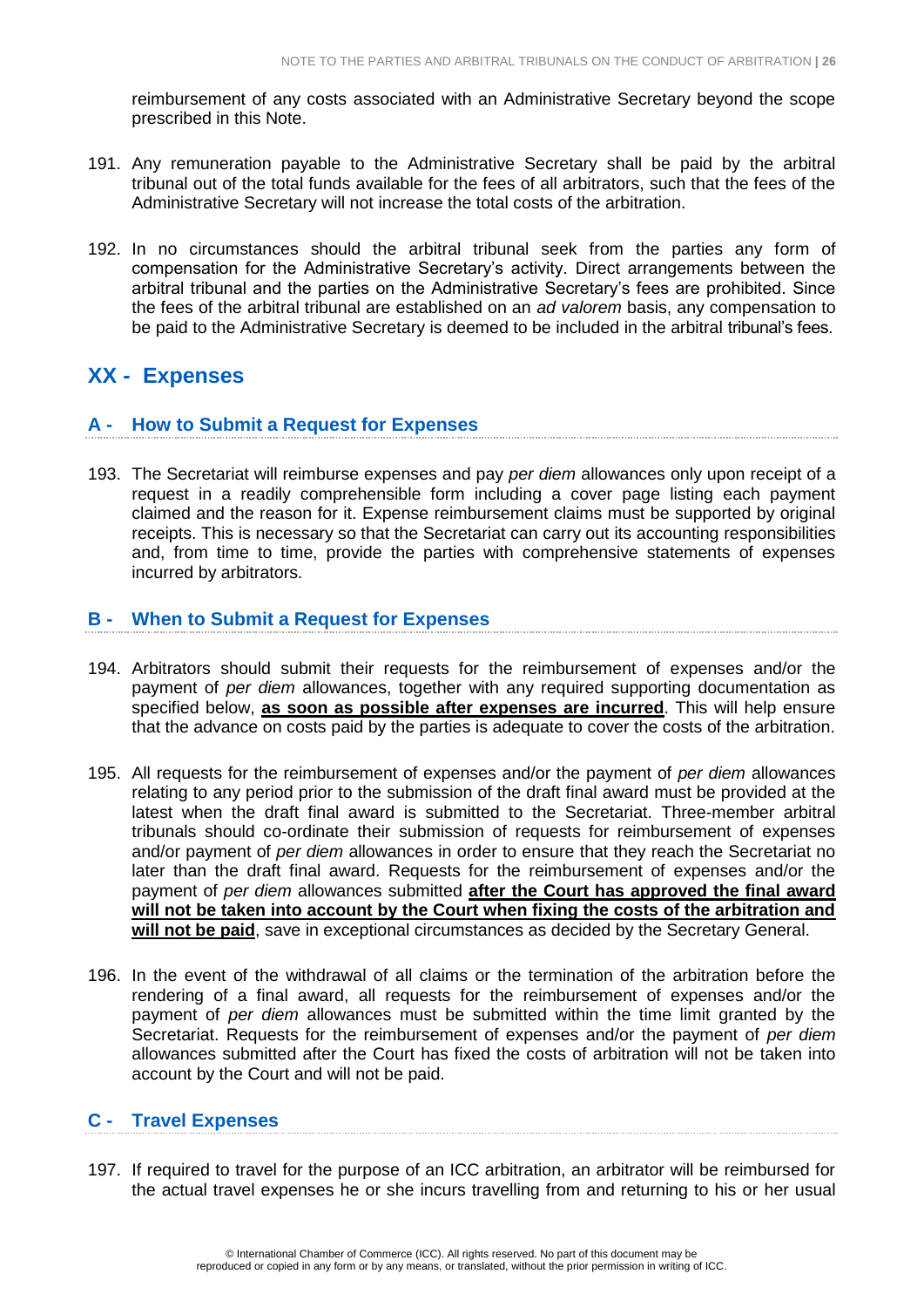reimbursement of any costs associated with an Administrative Secretary beyond the scope prescribed in this Note.

- 191. Any remuneration payable to the Administrative Secretary shall be paid by the arbitral tribunal out of the total funds available for the fees of all arbitrators, such that the fees of the Administrative Secretary will not increase the total costs of the arbitration.
- 192. In no circumstances should the arbitral tribunal seek from the parties any form of compensation for the Administrative Secretary's activity. Direct arrangements between the arbitral tribunal and the parties on the Administrative Secretary's fees are prohibited. Since the fees of the arbitral tribunal are established on an *ad valorem* basis, any compensation to be paid to the Administrative Secretary is deemed to be included in the arbitral tribunal's fees.

# <span id="page-25-0"></span>**XX - Expenses**

### <span id="page-25-1"></span>**A - How to Submit a Request for Expenses**

193. The Secretariat will reimburse expenses and pay *per diem* allowances only upon receipt of a request in a readily comprehensible form including a cover page listing each payment claimed and the reason for it. Expense reimbursement claims must be supported by original receipts. This is necessary so that the Secretariat can carry out its accounting responsibilities and, from time to time, provide the parties with comprehensive statements of expenses incurred by arbitrators.

### <span id="page-25-2"></span>**B - When to Submit a Request for Expenses**

- 194. Arbitrators should submit their requests for the reimbursement of expenses and/or the payment of *per diem* allowances, together with any required supporting documentation as specified below, **as soon as possible after expenses are incurred**. This will help ensure that the advance on costs paid by the parties is adequate to cover the costs of the arbitration.
- 195. All requests for the reimbursement of expenses and/or the payment of *per diem* allowances relating to any period prior to the submission of the draft final award must be provided at the latest when the draft final award is submitted to the Secretariat. Three-member arbitral tribunals should co-ordinate their submission of requests for reimbursement of expenses and/or payment of *per diem* allowances in order to ensure that they reach the Secretariat no later than the draft final award. Requests for the reimbursement of expenses and/or the payment of *per diem* allowances submitted **after the Court has approved the final award will not be taken into account by the Court when fixing the costs of the arbitration and will not be paid**, save in exceptional circumstances as decided by the Secretary General.
- 196. In the event of the withdrawal of all claims or the termination of the arbitration before the rendering of a final award, all requests for the reimbursement of expenses and/or the payment of *per diem* allowances must be submitted within the time limit granted by the Secretariat. Requests for the reimbursement of expenses and/or the payment of *per diem* allowances submitted after the Court has fixed the costs of arbitration will not be taken into account by the Court and will not be paid.

### <span id="page-25-3"></span>**C - Travel Expenses**

197. If required to travel for the purpose of an ICC arbitration, an arbitrator will be reimbursed for the actual travel expenses he or she incurs travelling from and returning to his or her usual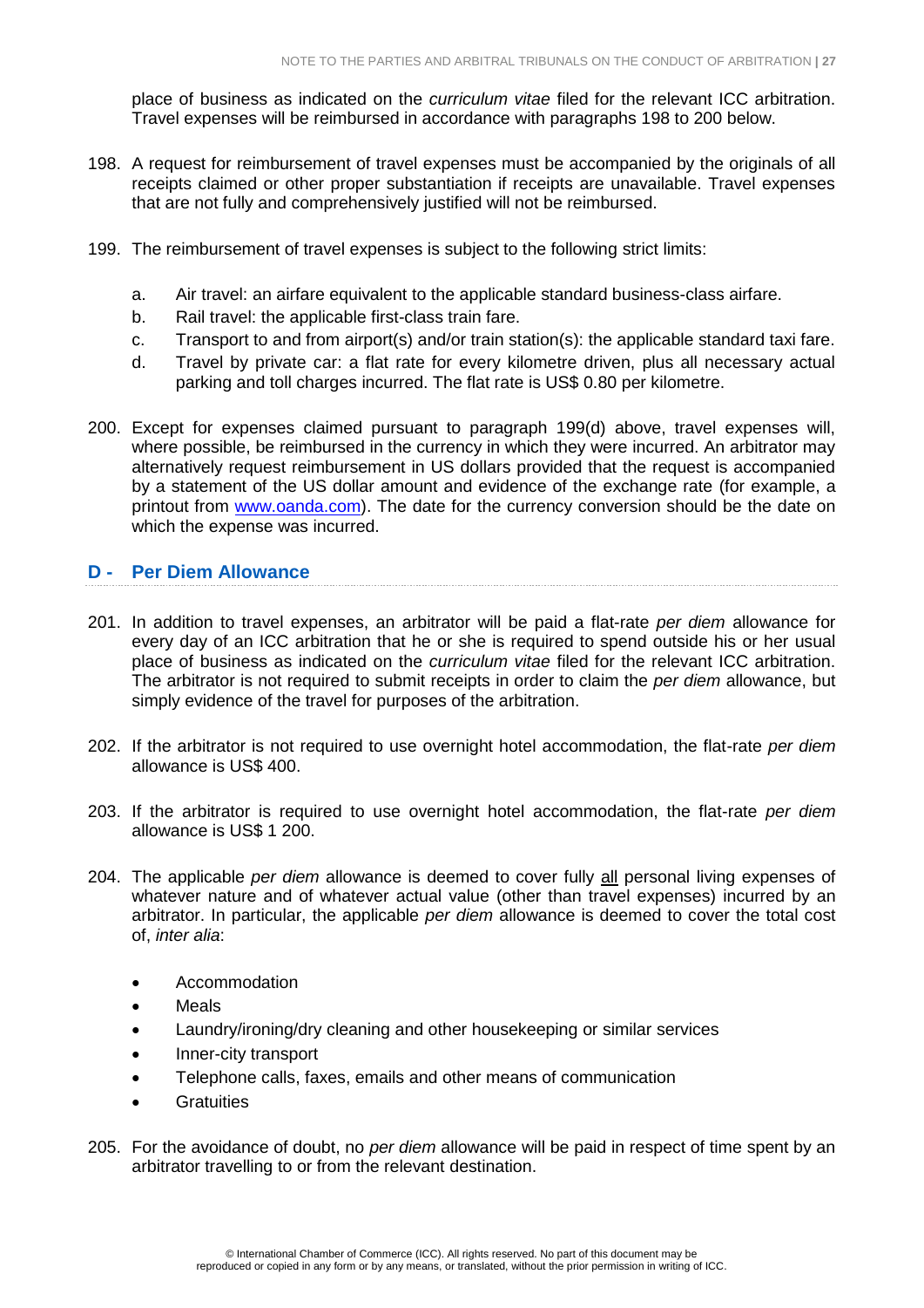place of business as indicated on the *curriculum vitae* filed for the relevant ICC arbitration. Travel expenses will be reimbursed in accordance with paragraphs 198 to 200 below.

- 198. A request for reimbursement of travel expenses must be accompanied by the originals of all receipts claimed or other proper substantiation if receipts are unavailable. Travel expenses that are not fully and comprehensively justified will not be reimbursed.
- 199. The reimbursement of travel expenses is subject to the following strict limits:
	- a. Air travel: an airfare equivalent to the applicable standard business-class airfare.
	- b. Rail travel: the applicable first-class train fare.
	- c. Transport to and from airport(s) and/or train station(s): the applicable standard taxi fare.
	- d. Travel by private car: a flat rate for every kilometre driven, plus all necessary actual parking and toll charges incurred. The flat rate is US\$ 0.80 per kilometre.
- 200. Except for expenses claimed pursuant to paragraph 199(d) above, travel expenses will, where possible, be reimbursed in the currency in which they were incurred. An arbitrator may alternatively request reimbursement in US dollars provided that the request is accompanied by a statement of the US dollar amount and evidence of the exchange rate (for example, a printout from [www.oanda.com\)](http://www.oanda.com/). The date for the currency conversion should be the date on which the expense was incurred.

### <span id="page-26-0"></span>**D - Per Diem Allowance**

- 201. In addition to travel expenses, an arbitrator will be paid a flat-rate *per diem* allowance for every day of an ICC arbitration that he or she is required to spend outside his or her usual place of business as indicated on the *curriculum vitae* filed for the relevant ICC arbitration. The arbitrator is not required to submit receipts in order to claim the *per diem* allowance, but simply evidence of the travel for purposes of the arbitration.
- 202. If the arbitrator is not required to use overnight hotel accommodation, the flat-rate *per diem* allowance is US\$ 400.
- 203. If the arbitrator is required to use overnight hotel accommodation, the flat-rate *per diem* allowance is US\$ 1 200.
- 204. The applicable *per diem* allowance is deemed to cover fully all personal living expenses of whatever nature and of whatever actual value (other than travel expenses) incurred by an arbitrator. In particular, the applicable *per diem* allowance is deemed to cover the total cost of, *inter alia*:
	- **•** Accommodation
	- Meals
	- Laundry/ironing/dry cleaning and other housekeeping or similar services
	- Inner-city transport
	- Telephone calls, faxes, emails and other means of communication
	- **Gratuities**
- 205. For the avoidance of doubt, no *per diem* allowance will be paid in respect of time spent by an arbitrator travelling to or from the relevant destination.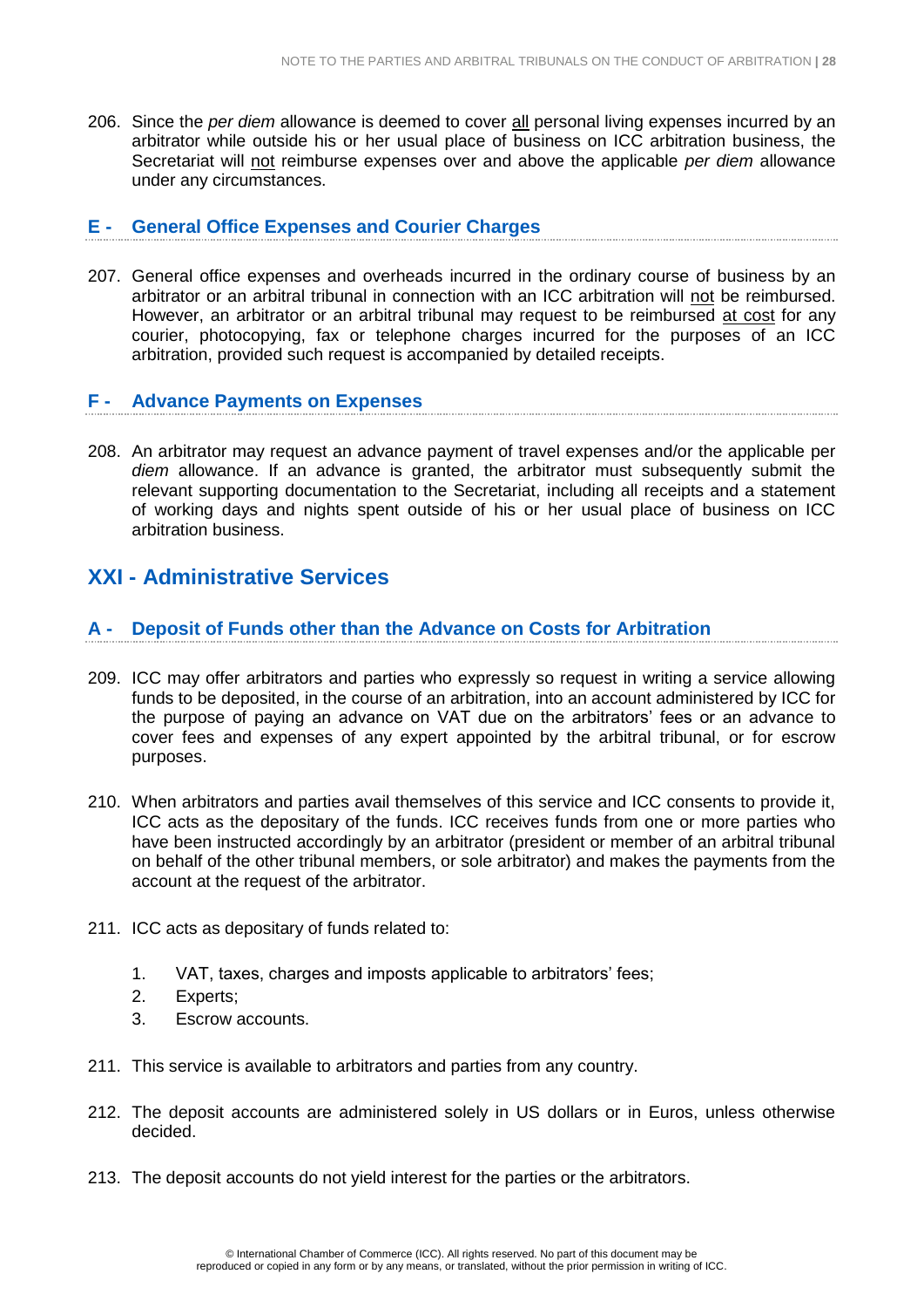206. Since the *per diem* allowance is deemed to cover all personal living expenses incurred by an arbitrator while outside his or her usual place of business on ICC arbitration business, the Secretariat will not reimburse expenses over and above the applicable *per diem* allowance under any circumstances.

### <span id="page-27-0"></span>**E - General Office Expenses and Courier Charges**

207. General office expenses and overheads incurred in the ordinary course of business by an arbitrator or an arbitral tribunal in connection with an ICC arbitration will not be reimbursed. However, an arbitrator or an arbitral tribunal may request to be reimbursed at cost for any courier, photocopying, fax or telephone charges incurred for the purposes of an ICC arbitration, provided such request is accompanied by detailed receipts.

### <span id="page-27-1"></span>**F - Advance Payments on Expenses**

208. An arbitrator may request an advance payment of travel expenses and/or the applicable per *diem* allowance. If an advance is granted, the arbitrator must subsequently submit the relevant supporting documentation to the Secretariat, including all receipts and a statement of working days and nights spent outside of his or her usual place of business on ICC arbitration business.

# <span id="page-27-2"></span>**XXI - Administrative Services**

### <span id="page-27-3"></span>**A - Deposit of Funds other than the Advance on Costs for Arbitration**

- 209. ICC may offer arbitrators and parties who expressly so request in writing a service allowing funds to be deposited, in the course of an arbitration, into an account administered by ICC for the purpose of paying an advance on VAT due on the arbitrators' fees or an advance to cover fees and expenses of any expert appointed by the arbitral tribunal, or for escrow purposes.
- 210. When arbitrators and parties avail themselves of this service and ICC consents to provide it, ICC acts as the depositary of the funds. ICC receives funds from one or more parties who have been instructed accordingly by an arbitrator (president or member of an arbitral tribunal on behalf of the other tribunal members, or sole arbitrator) and makes the payments from the account at the request of the arbitrator.
- 211. ICC acts as depositary of funds related to:
	- 1. VAT, taxes, charges and imposts applicable to arbitrators' fees;
	- 2. Experts;
	- 3. Escrow accounts.
- 211. This service is available to arbitrators and parties from any country.
- 212. The deposit accounts are administered solely in US dollars or in Euros, unless otherwise decided.
- 213. The deposit accounts do not yield interest for the parties or the arbitrators.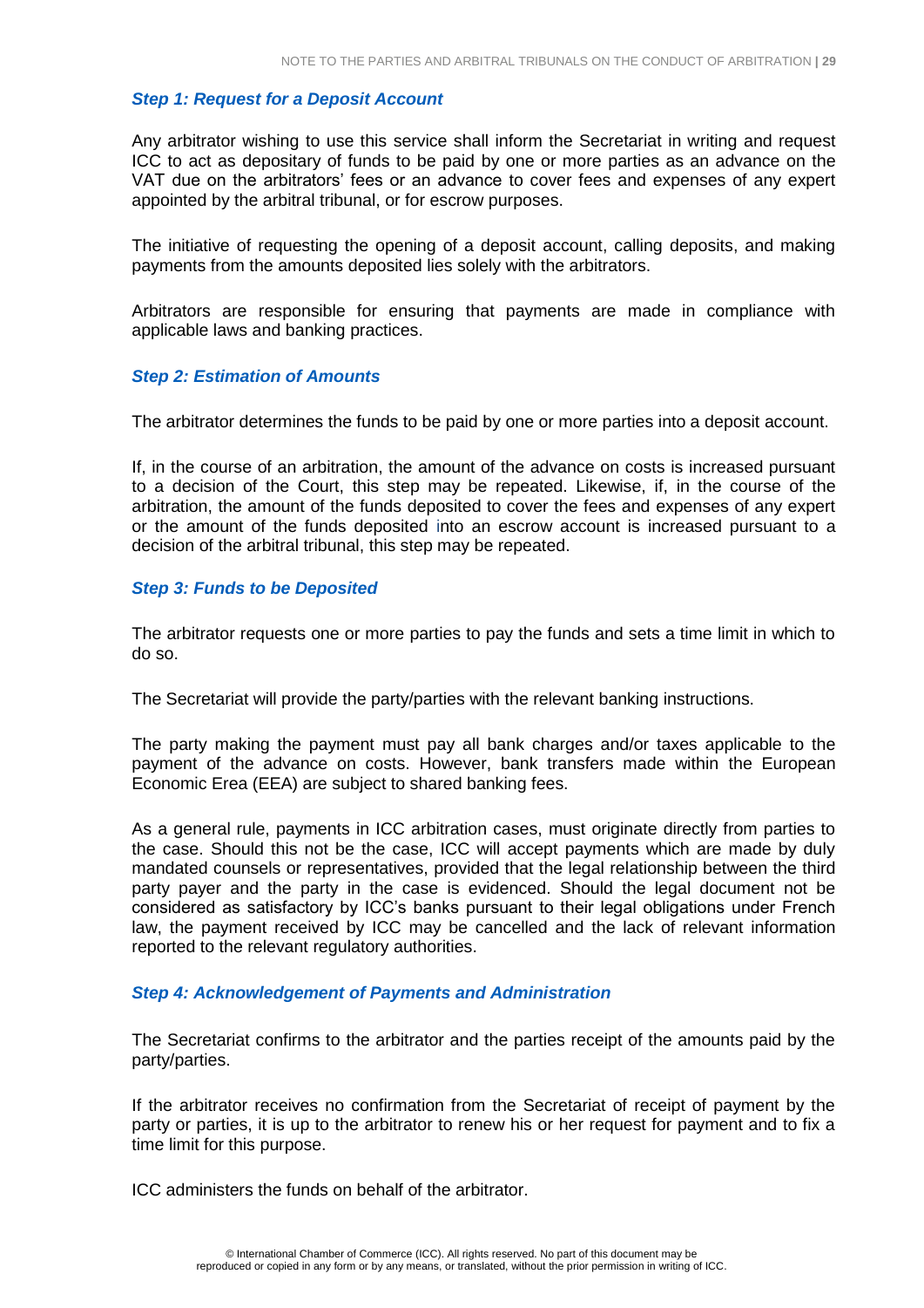#### *Step 1: Request for a Deposit Account*

Any arbitrator wishing to use this service shall inform the Secretariat in writing and request ICC to act as depositary of funds to be paid by one or more parties as an advance on the VAT due on the arbitrators' fees or an advance to cover fees and expenses of any expert appointed by the arbitral tribunal, or for escrow purposes.

The initiative of requesting the opening of a deposit account, calling deposits, and making payments from the amounts deposited lies solely with the arbitrators.

Arbitrators are responsible for ensuring that payments are made in compliance with applicable laws and banking practices.

#### *Step 2: Estimation of Amounts*

The arbitrator determines the funds to be paid by one or more parties into a deposit account.

If, in the course of an arbitration, the amount of the advance on costs is increased pursuant to a decision of the Court, this step may be repeated. Likewise, if, in the course of the arbitration, the amount of the funds deposited to cover the fees and expenses of any expert or the amount of the funds deposited into an escrow account is increased pursuant to a decision of the arbitral tribunal, this step may be repeated.

#### *Step 3: Funds to be Deposited*

The arbitrator requests one or more parties to pay the funds and sets a time limit in which to do so.

The Secretariat will provide the party/parties with the relevant banking instructions.

The party making the payment must pay all bank charges and/or taxes applicable to the payment of the advance on costs. However, bank transfers made within the European Economic Erea (EEA) are subject to shared banking fees.

As a general rule, payments in ICC arbitration cases, must originate directly from parties to the case. Should this not be the case, ICC will accept payments which are made by duly mandated counsels or representatives, provided that the legal relationship between the third party payer and the party in the case is evidenced. Should the legal document not be considered as satisfactory by ICC's banks pursuant to their legal obligations under French law, the payment received by ICC may be cancelled and the lack of relevant information reported to the relevant regulatory authorities.

#### *Step 4: Acknowledgement of Payments and Administration*

The Secretariat confirms to the arbitrator and the parties receipt of the amounts paid by the party/parties.

If the arbitrator receives no confirmation from the Secretariat of receipt of payment by the party or parties, it is up to the arbitrator to renew his or her request for payment and to fix a time limit for this purpose.

ICC administers the funds on behalf of the arbitrator.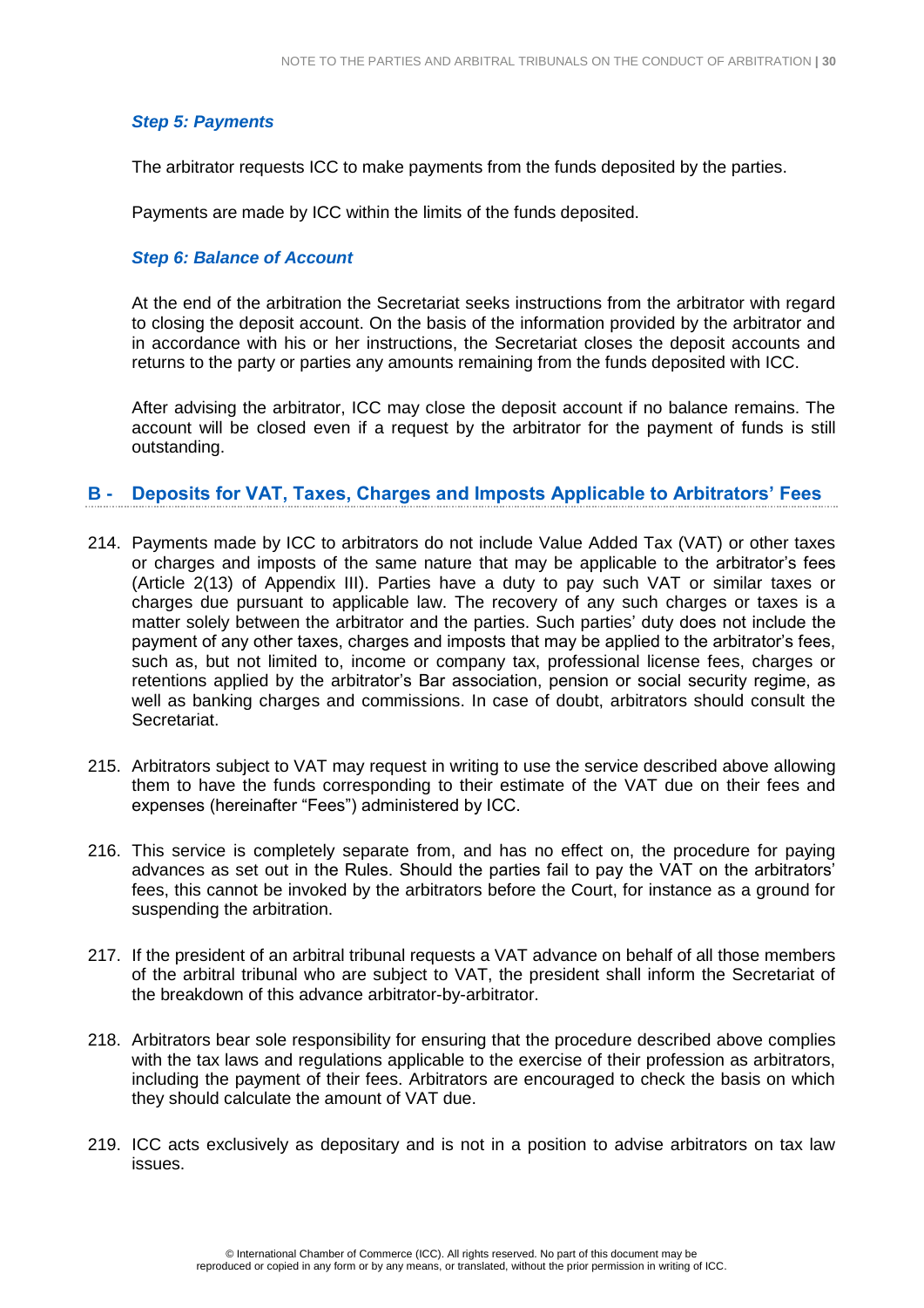### *Step 5: Payments*

The arbitrator requests ICC to make payments from the funds deposited by the parties.

Payments are made by ICC within the limits of the funds deposited.

#### *Step 6: Balance of Account*

At the end of the arbitration the Secretariat seeks instructions from the arbitrator with regard to closing the deposit account. On the basis of the information provided by the arbitrator and in accordance with his or her instructions, the Secretariat closes the deposit accounts and returns to the party or parties any amounts remaining from the funds deposited with ICC.

After advising the arbitrator, ICC may close the deposit account if no balance remains. The account will be closed even if a request by the arbitrator for the payment of funds is still outstanding.

### <span id="page-29-0"></span>**B - Deposits for VAT, Taxes, Charges and Imposts Applicable to Arbitrators' Fees**

- 214. Payments made by ICC to arbitrators do not include Value Added Tax (VAT) or other taxes or charges and imposts of the same nature that may be applicable to the arbitrator's fees (Article 2(13) of Appendix III). Parties have a duty to pay such VAT or similar taxes or charges due pursuant to applicable law. The recovery of any such charges or taxes is a matter solely between the arbitrator and the parties. Such parties' duty does not include the payment of any other taxes, charges and imposts that may be applied to the arbitrator's fees, such as, but not limited to, income or company tax, professional license fees, charges or retentions applied by the arbitrator's Bar association, pension or social security regime, as well as banking charges and commissions. In case of doubt, arbitrators should consult the Secretariat.
- 215. Arbitrators subject to VAT may request in writing to use the service described above allowing them to have the funds corresponding to their estimate of the VAT due on their fees and expenses (hereinafter "Fees") administered by ICC.
- 216. This service is completely separate from, and has no effect on, the procedure for paying advances as set out in the Rules. Should the parties fail to pay the VAT on the arbitrators' fees, this cannot be invoked by the arbitrators before the Court, for instance as a ground for suspending the arbitration.
- 217. If the president of an arbitral tribunal requests a VAT advance on behalf of all those members of the arbitral tribunal who are subject to VAT, the president shall inform the Secretariat of the breakdown of this advance arbitrator-by-arbitrator.
- 218. Arbitrators bear sole responsibility for ensuring that the procedure described above complies with the tax laws and regulations applicable to the exercise of their profession as arbitrators, including the payment of their fees. Arbitrators are encouraged to check the basis on which they should calculate the amount of VAT due.
- 219. ICC acts exclusively as depositary and is not in a position to advise arbitrators on tax law issues.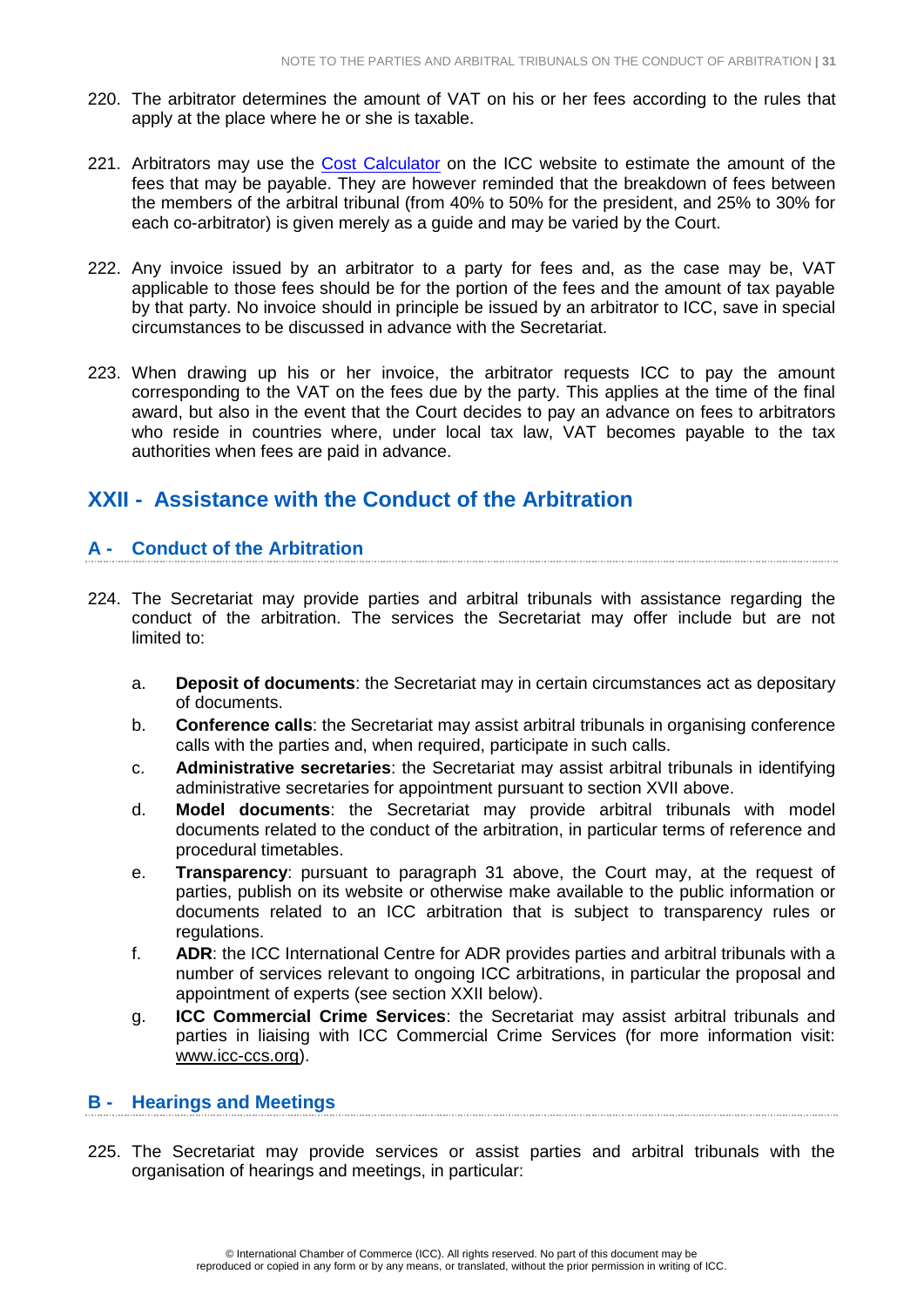- 220. The arbitrator determines the amount of VAT on his or her fees according to the rules that apply at the place where he or she is taxable.
- 221. Arbitrators may use the [Cost Calculator](http://www.iccwbo.org/products-and-services/arbitration-and-adr/arbitration/cost-and-payment/cost-calculator/) on the ICC website to estimate the amount of the fees that may be payable. They are however reminded that the breakdown of fees between the members of the arbitral tribunal (from 40% to 50% for the president, and 25% to 30% for each co-arbitrator) is given merely as a guide and may be varied by the Court.
- 222. Any invoice issued by an arbitrator to a party for fees and, as the case may be, VAT applicable to those fees should be for the portion of the fees and the amount of tax payable by that party. No invoice should in principle be issued by an arbitrator to ICC, save in special circumstances to be discussed in advance with the Secretariat.
- 223. When drawing up his or her invoice, the arbitrator requests ICC to pay the amount corresponding to the VAT on the fees due by the party. This applies at the time of the final award, but also in the event that the Court decides to pay an advance on fees to arbitrators who reside in countries where, under local tax law, VAT becomes payable to the tax authorities when fees are paid in advance.

# <span id="page-30-0"></span>**XXII - Assistance with the Conduct of the Arbitration**

### <span id="page-30-1"></span>**A - Conduct of the Arbitration**

- 224. The Secretariat may provide parties and arbitral tribunals with assistance regarding the conduct of the arbitration. The services the Secretariat may offer include but are not limited to:
	- a. **Deposit of documents**: the Secretariat may in certain circumstances act as depositary of documents.
	- b. **Conference calls**: the Secretariat may assist arbitral tribunals in organising conference calls with the parties and, when required, participate in such calls.
	- c. **Administrative secretaries**: the Secretariat may assist arbitral tribunals in identifying administrative secretaries for appointment pursuant to section XVII above.
	- d. **Model documents**: the Secretariat may provide arbitral tribunals with model documents related to the conduct of the arbitration, in particular terms of reference and procedural timetables.
	- e. **Transparency**: pursuant to paragraph 31 above, the Court may, at the request of parties, publish on its website or otherwise make available to the public information or documents related to an ICC arbitration that is subject to transparency rules or regulations.
	- f. **ADR**: the ICC International Centre for ADR provides parties and arbitral tribunals with a number of services relevant to ongoing ICC arbitrations, in particular the proposal and appointment of experts (see section XXII below).
	- g. **ICC Commercial Crime Services**: the Secretariat may assist arbitral tribunals and parties in liaising with ICC Commercial Crime Services (for more information visit: [www.icc-ccs.org\)](http://www.icc-ccs.org/).

#### <span id="page-30-2"></span>**B - Hearings and Meetings**

225. The Secretariat may provide services or assist parties and arbitral tribunals with the organisation of hearings and meetings, in particular: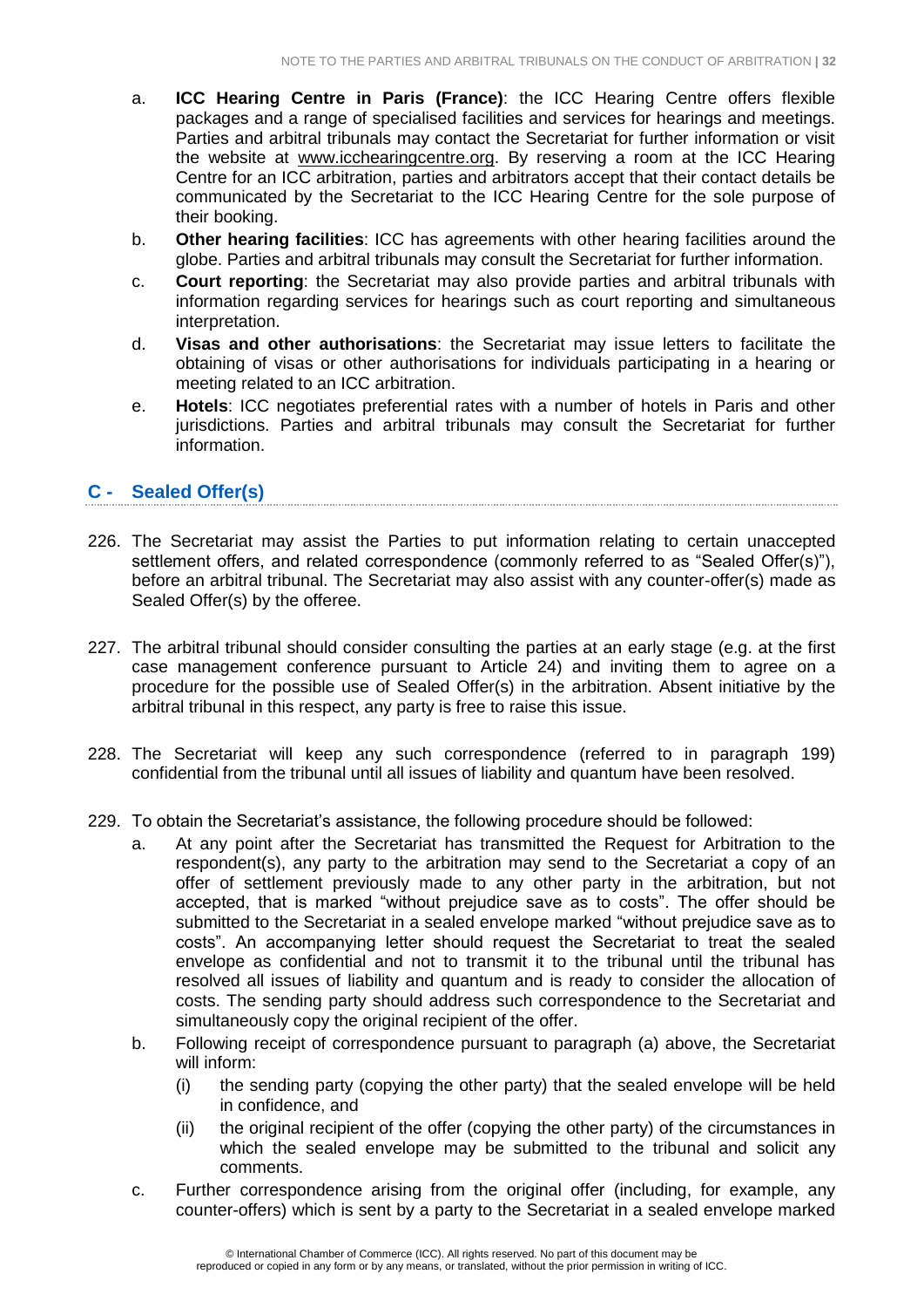- a. **ICC Hearing Centre in Paris (France)**: the ICC Hearing Centre offers flexible packages and a range of specialised facilities and services for hearings and meetings. Parties and arbitral tribunals may contact the Secretariat for further information or visit the website at [www.icchearingcentre.org.](http://www.icchearingcentre.org/) By reserving a room at the ICC Hearing Centre for an ICC arbitration, parties and arbitrators accept that their contact details be communicated by the Secretariat to the ICC Hearing Centre for the sole purpose of their booking.
- b. **Other hearing facilities**: ICC has agreements with other hearing facilities around the globe. Parties and arbitral tribunals may consult the Secretariat for further information.
- c. **Court reporting**: the Secretariat may also provide parties and arbitral tribunals with information regarding services for hearings such as court reporting and simultaneous interpretation.
- d. **Visas and other authorisations**: the Secretariat may issue letters to facilitate the obtaining of visas or other authorisations for individuals participating in a hearing or meeting related to an ICC arbitration.
- e. **Hotels**: ICC negotiates preferential rates with a number of hotels in Paris and other jurisdictions. Parties and arbitral tribunals may consult the Secretariat for further information.

### <span id="page-31-0"></span>**C - Sealed Offer(s)**

- 226. The Secretariat may assist the Parties to put information relating to certain unaccepted settlement offers, and related correspondence (commonly referred to as "Sealed Offer(s)"), before an arbitral tribunal. The Secretariat may also assist with any counter-offer(s) made as Sealed Offer(s) by the offeree.
- 227. The arbitral tribunal should consider consulting the parties at an early stage (e.g. at the first case management conference pursuant to Article 24) and inviting them to agree on a procedure for the possible use of Sealed Offer(s) in the arbitration. Absent initiative by the arbitral tribunal in this respect, any party is free to raise this issue.
- 228. The Secretariat will keep any such correspondence (referred to in paragraph 199) confidential from the tribunal until all issues of liability and quantum have been resolved.
- 229. To obtain the Secretariat's assistance, the following procedure should be followed:
	- a. At any point after the Secretariat has transmitted the Request for Arbitration to the respondent(s), any party to the arbitration may send to the Secretariat a copy of an offer of settlement previously made to any other party in the arbitration, but not accepted, that is marked "without prejudice save as to costs". The offer should be submitted to the Secretariat in a sealed envelope marked "without prejudice save as to costs". An accompanying letter should request the Secretariat to treat the sealed envelope as confidential and not to transmit it to the tribunal until the tribunal has resolved all issues of liability and quantum and is ready to consider the allocation of costs. The sending party should address such correspondence to the Secretariat and simultaneously copy the original recipient of the offer.
	- b. Following receipt of correspondence pursuant to paragraph (a) above, the Secretariat will inform:
		- (i) the sending party (copying the other party) that the sealed envelope will be held in confidence, and
		- (ii) the original recipient of the offer (copying the other party) of the circumstances in which the sealed envelope may be submitted to the tribunal and solicit any comments.
	- c. Further correspondence arising from the original offer (including, for example, any counter-offers) which is sent by a party to the Secretariat in a sealed envelope marked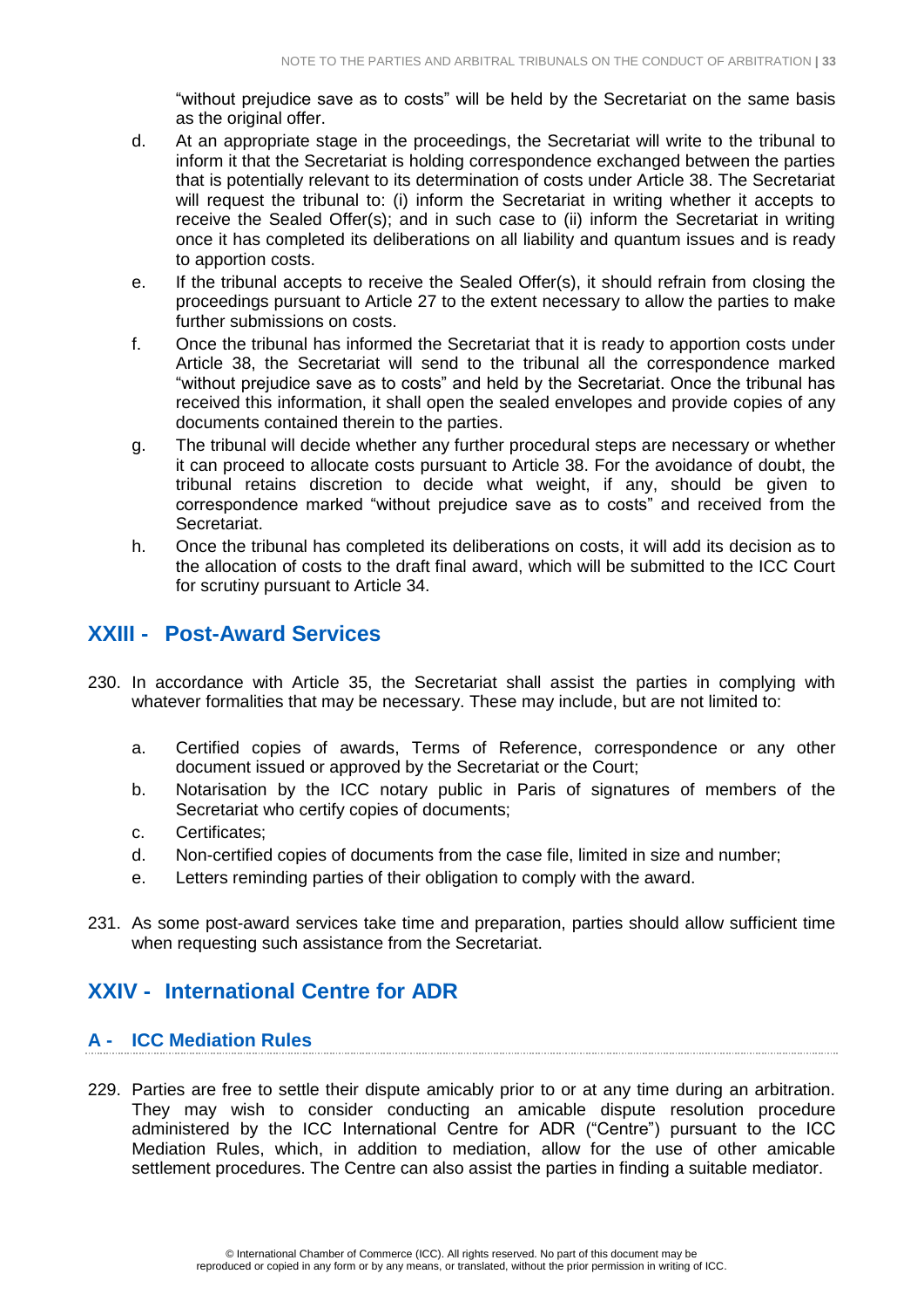"without prejudice save as to costs" will be held by the Secretariat on the same basis as the original offer.

- d. At an appropriate stage in the proceedings, the Secretariat will write to the tribunal to inform it that the Secretariat is holding correspondence exchanged between the parties that is potentially relevant to its determination of costs under Article 38. The Secretariat will request the tribunal to: (i) inform the Secretariat in writing whether it accepts to receive the Sealed Offer(s); and in such case to (ii) inform the Secretariat in writing once it has completed its deliberations on all liability and quantum issues and is ready to apportion costs.
- e. If the tribunal accepts to receive the Sealed Offer(s), it should refrain from closing the proceedings pursuant to Article 27 to the extent necessary to allow the parties to make further submissions on costs.
- f. Once the tribunal has informed the Secretariat that it is ready to apportion costs under Article 38, the Secretariat will send to the tribunal all the correspondence marked "without prejudice save as to costs" and held by the Secretariat. Once the tribunal has received this information, it shall open the sealed envelopes and provide copies of any documents contained therein to the parties.
- g. The tribunal will decide whether any further procedural steps are necessary or whether it can proceed to allocate costs pursuant to Article 38. For the avoidance of doubt, the tribunal retains discretion to decide what weight, if any, should be given to correspondence marked "without prejudice save as to costs" and received from the Secretariat.
- h. Once the tribunal has completed its deliberations on costs, it will add its decision as to the allocation of costs to the draft final award, which will be submitted to the ICC Court for scrutiny pursuant to Article 34.

### <span id="page-32-0"></span>**XXIII - Post-Award Services**

- 230. In accordance with Article 35, the Secretariat shall assist the parties in complying with whatever formalities that may be necessary. These may include, but are not limited to:
	- a. Certified copies of awards, Terms of Reference, correspondence or any other document issued or approved by the Secretariat or the Court;
	- b. Notarisation by the ICC notary public in Paris of signatures of members of the Secretariat who certify copies of documents;
	- c. Certificates;
	- d. Non-certified copies of documents from the case file, limited in size and number;
	- e. Letters reminding parties of their obligation to comply with the award.
- 231. As some post-award services take time and preparation, parties should allow sufficient time when requesting such assistance from the Secretariat.

# <span id="page-32-1"></span>**XXIV - International Centre for ADR**

#### <span id="page-32-2"></span>**A - ICC Mediation Rules**

229. Parties are free to settle their dispute amicably prior to or at any time during an arbitration. They may wish to consider conducting an amicable dispute resolution procedure administered by the ICC International Centre for ADR ("Centre") pursuant to the ICC Mediation Rules, which, in addition to mediation, allow for the use of other amicable settlement procedures. The Centre can also assist the parties in finding a suitable mediator.